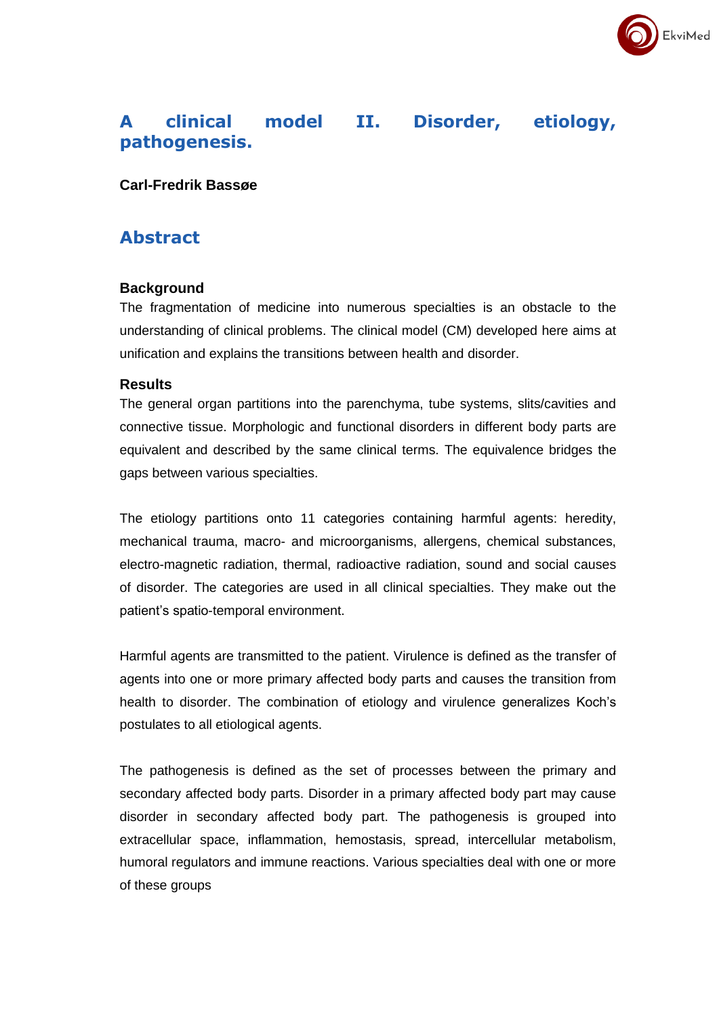# **A clinical model II. Disorder, etiology, pathogenesis.**

EkviMed

## **Carl-Fredrik Bassøe**

## **Abstract**

### **Background**

The fragmentation of medicine into numerous specialties is an obstacle to the understanding of clinical problems. The clinical model (CM) developed here aims at unification and explains the transitions between health and disorder.

#### **Results**

The general organ partitions into the parenchyma, tube systems, slits/cavities and connective tissue. Morphologic and functional disorders in different body parts are equivalent and described by the same clinical terms. The equivalence bridges the gaps between various specialties.

The etiology partitions onto 11 categories containing harmful agents: heredity, mechanical trauma, macro- and microorganisms, allergens, chemical substances, electro-magnetic radiation, thermal, radioactive radiation, sound and social causes of disorder. The categories are used in all clinical specialties. They make out the patient's spatio-temporal environment.

Harmful agents are transmitted to the patient. Virulence is defined as the transfer of agents into one or more primary affected body parts and causes the transition from health to disorder. The combination of etiology and virulence generalizes Koch's postulates to all etiological agents.

The pathogenesis is defined as the set of processes between the primary and secondary affected body parts. Disorder in a primary affected body part may cause disorder in secondary affected body part. The pathogenesis is grouped into extracellular space, inflammation, hemostasis, spread, intercellular metabolism, humoral regulators and immune reactions. Various specialties deal with one or more of these groups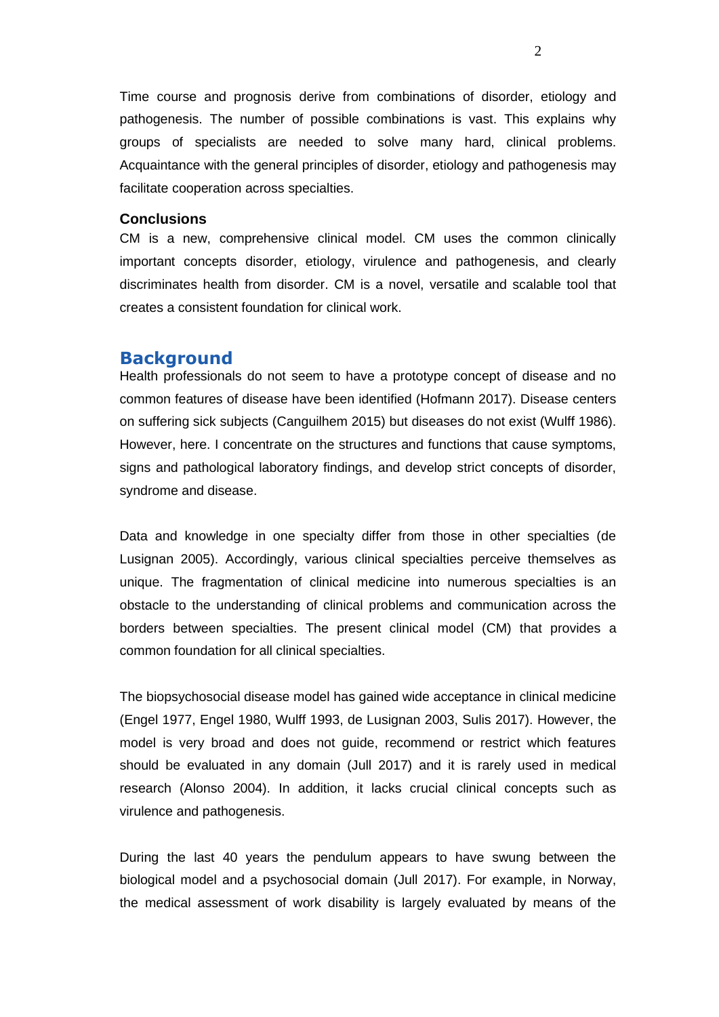Time course and prognosis derive from combinations of disorder, etiology and pathogenesis. The number of possible combinations is vast. This explains why groups of specialists are needed to solve many hard, clinical problems. Acquaintance with the general principles of disorder, etiology and pathogenesis may facilitate cooperation across specialties.

## **Conclusions**

CM is a new, comprehensive clinical model. CM uses the common clinically important concepts disorder, etiology, virulence and pathogenesis, and clearly discriminates health from disorder. CM is a novel, versatile and scalable tool that creates a consistent foundation for clinical work.

### **Background**

Health professionals do not seem to have a prototype concept of disease and no common features of disease have been identified (Hofmann 2017). Disease centers on suffering sick subjects (Canguilhem 2015) but diseases do not exist (Wulff 1986). However, here. I concentrate on the structures and functions that cause symptoms, signs and pathological laboratory findings, and develop strict concepts of disorder, syndrome and disease.

Data and knowledge in one specialty differ from those in other specialties (de Lusignan 2005). Accordingly, various clinical specialties perceive themselves as unique. The fragmentation of clinical medicine into numerous specialties is an obstacle to the understanding of clinical problems and communication across the borders between specialties. The present clinical model (CM) that provides a common foundation for all clinical specialties.

The biopsychosocial disease model has gained wide acceptance in clinical medicine (Engel 1977, Engel 1980, Wulff 1993, de Lusignan 2003, Sulis 2017). However, the model is very broad and does not guide, recommend or restrict which features should be evaluated in any domain (Jull 2017) and it is rarely used in medical research (Alonso 2004). In addition, it lacks crucial clinical concepts such as virulence and pathogenesis.

During the last 40 years the pendulum appears to have swung between the biological model and a psychosocial domain (Jull 2017). For example, in Norway, the medical assessment of work disability is largely evaluated by means of the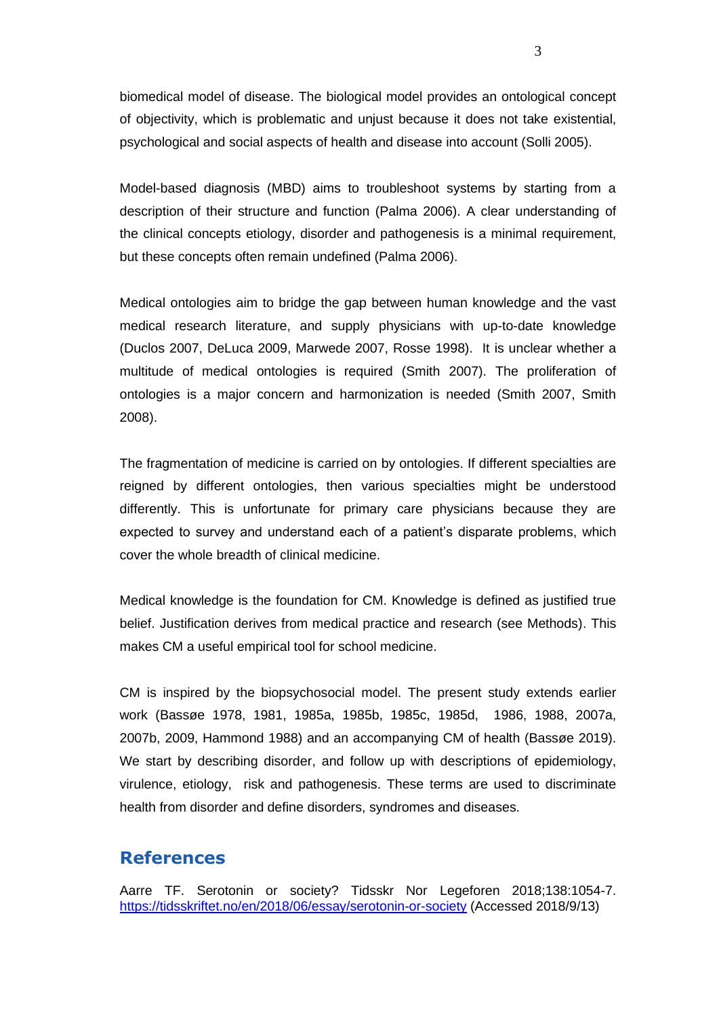biomedical model of disease. The biological model provides an ontological concept of objectivity, which is problematic and unjust because it does not take existential, psychological and social aspects of health and disease into account (Solli 2005).

Model-based diagnosis (MBD) aims to troubleshoot systems by starting from a description of their structure and function (Palma 2006). A clear understanding of the clinical concepts etiology, disorder and pathogenesis is a minimal requirement, but these concepts often remain undefined (Palma 2006).

Medical ontologies aim to bridge the gap between human knowledge and the vast medical research literature, and supply physicians with up-to-date knowledge (Duclos 2007, DeLuca 2009, Marwede 2007, Rosse 1998). It is unclear whether a multitude of medical ontologies is required (Smith 2007). The proliferation of ontologies is a major concern and harmonization is needed (Smith 2007, Smith 2008).

The fragmentation of medicine is carried on by ontologies. If different specialties are reigned by different ontologies, then various specialties might be understood differently. This is unfortunate for primary care physicians because they are expected to survey and understand each of a patient's disparate problems, which cover the whole breadth of clinical medicine.

Medical knowledge is the foundation for CM. Knowledge is defined as justified true belief. Justification derives from medical practice and research (see Methods). This makes CM a useful empirical tool for school medicine.

CM is inspired by the biopsychosocial model. The present study extends earlier work (Bassøe 1978, 1981, 1985a, 1985b, 1985c, 1985d, 1986, 1988, 2007a, 2007b, 2009, Hammond 1988) and an accompanying CM of health (Bassøe 2019). We start by describing disorder, and follow up with descriptions of epidemiology, virulence, etiology, risk and pathogenesis. These terms are used to discriminate health from disorder and define disorders, syndromes and diseases.

## **References**

Aarre TF. Serotonin or society? Tidsskr Nor Legeforen 2018;138:1054-7. <https://tidsskriftet.no/en/2018/06/essay/serotonin-or-society> (Accessed 2018/9/13)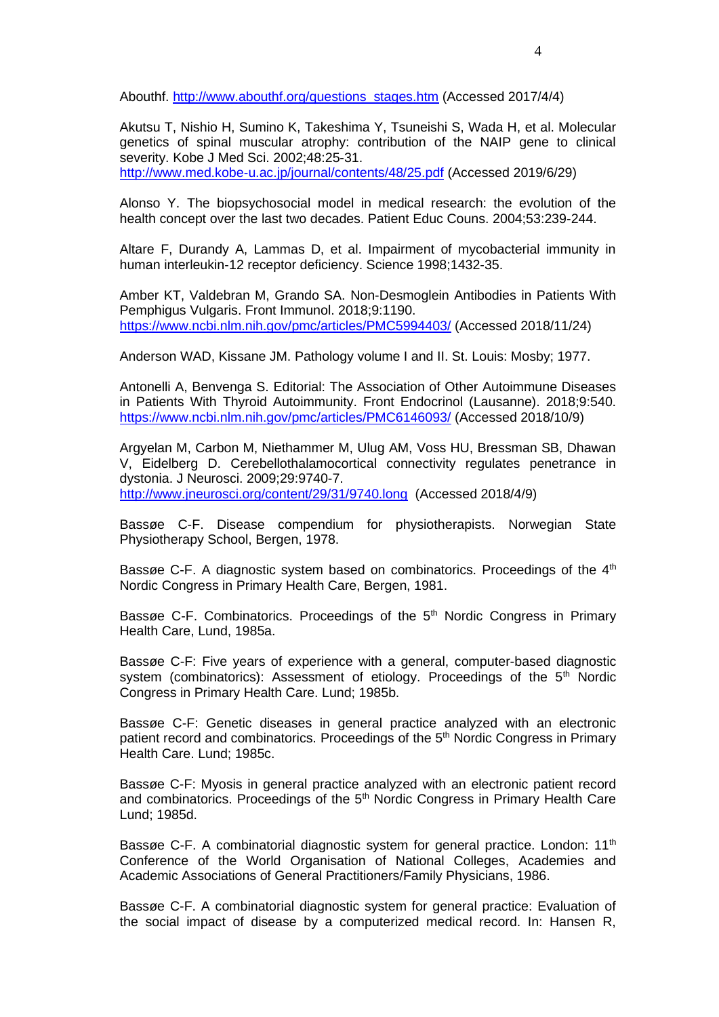Abouthf. [http://www.abouthf.org/questions\\_stages.htm](http://www.abouthf.org/questions_stages.htm) (Accessed 2017/4/4)

Akutsu T, Nishio H, Sumino K, Takeshima Y, Tsuneishi S, Wada H, et al. Molecular genetics of spinal muscular atrophy: contribution of the NAIP gene to clinical severity. Kobe J Med Sci. 2002;48:25-31.

<http://www.med.kobe-u.ac.jp/journal/contents/48/25.pdf> (Accessed 2019/6/29)

Alonso Y. The biopsychosocial model in medical research: the evolution of the health concept over the last two decades. Patient Educ Couns. 2004;53:239-244.

Altare F, Durandy A, Lammas D, et al. Impairment of mycobacterial immunity in human interleukin-12 receptor deficiency. Science 1998;1432-35.

Amber KT, Valdebran M, Grando SA. Non-Desmoglein Antibodies in Patients With Pemphigus Vulgaris. Front Immunol. 2018;9:1190. <https://www.ncbi.nlm.nih.gov/pmc/articles/PMC5994403/> (Accessed 2018/11/24)

Anderson WAD, Kissane JM. Pathology volume I and II. St. Louis: Mosby; 1977.

Antonelli A, Benvenga S. Editorial: The Association of Other Autoimmune Diseases in Patients With Thyroid Autoimmunity. Front Endocrinol (Lausanne). 2018;9:540. <https://www.ncbi.nlm.nih.gov/pmc/articles/PMC6146093/> (Accessed 2018/10/9)

Argyelan M, Carbon M, Niethammer M, Ulug AM, Voss HU, Bressman SB, Dhawan V, Eidelberg D. Cerebellothalamocortical connectivity regulates penetrance in dystonia. J Neurosci. 2009;29:9740-7. <http://www.jneurosci.org/content/29/31/9740.long>(Accessed 2018/4/9)

Bassøe C-F. Disease compendium for physiotherapists. Norwegian State Physiotherapy School, Bergen, 1978.

Bassøe C-F. A diagnostic system based on combinatorics. Proceedings of the 4<sup>th</sup> Nordic Congress in Primary Health Care, Bergen, 1981.

Bassøe C-F. Combinatorics. Proceedings of the 5<sup>th</sup> Nordic Congress in Primary Health Care, Lund, 1985a.

Bassøe C-F: Five years of experience with a general, computer-based diagnostic system (combinatorics): Assessment of etiology. Proceedings of the  $5<sup>th</sup>$  Nordic Congress in Primary Health Care. Lund; 1985b.

Bassøe C-F: Genetic diseases in general practice analyzed with an electronic patient record and combinatorics. Proceedings of the 5<sup>th</sup> Nordic Congress in Primary Health Care. Lund; 1985c.

Bassøe C-F: Myosis in general practice analyzed with an electronic patient record and combinatorics. Proceedings of the 5<sup>th</sup> Nordic Congress in Primary Health Care Lund; 1985d.

Bassøe C-F. A combinatorial diagnostic system for general practice. London: 11<sup>th</sup> Conference of the World Organisation of National Colleges, Academies and Academic Associations of General Practitioners/Family Physicians, 1986.

Bassøe C-F. A combinatorial diagnostic system for general practice: Evaluation of the social impact of disease by a computerized medical record. In: Hansen R,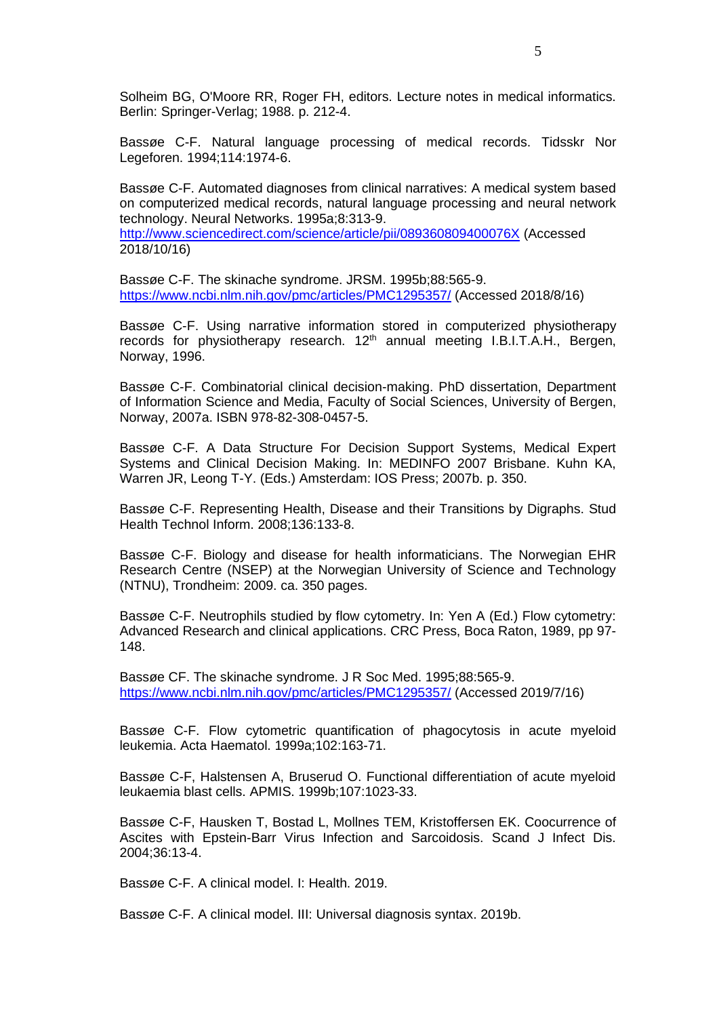Solheim BG, O'Moore RR, Roger FH, editors. Lecture notes in medical informatics. Berlin: Springer-Verlag; 1988. p. 212-4.

Bassøe C-F. Natural language processing of medical records. Tidsskr Nor Legeforen. 1994;114:1974-6.

Bassøe C-F. Automated diagnoses from clinical narratives: A medical system based on computerized medical records, natural language processing and neural network technology. Neural Networks. 1995a;8:313-9.

<http://www.sciencedirect.com/science/article/pii/089360809400076X> (Accessed 2018/10/16)

Bassøe C-F. The skinache syndrome. JRSM. 1995b;88:565-9. <https://www.ncbi.nlm.nih.gov/pmc/articles/PMC1295357/> (Accessed 2018/8/16)

Bassøe C-F. Using narrative information stored in computerized physiotherapy records for physiotherapy research. 12<sup>th</sup> annual meeting I.B.I.T.A.H., Bergen, Norway, 1996.

Bassøe C-F. Combinatorial clinical decision-making. PhD dissertation, Department of Information Science and Media, Faculty of Social Sciences, University of Bergen, Norway, 2007a. ISBN 978-82-308-0457-5.

Bassøe C-F. A Data Structure For Decision Support Systems, Medical Expert Systems and Clinical Decision Making. In: MEDINFO 2007 Brisbane. Kuhn KA, Warren JR, Leong T-Y. (Eds.) Amsterdam: IOS Press; 2007b. p. 350.

Bassøe C-F. Representing Health, Disease and their Transitions by Digraphs. Stud Health Technol Inform. 2008;136:133-8.

Bassøe C-F. Biology and disease for health informaticians. The Norwegian EHR Research Centre (NSEP) at the Norwegian University of Science and Technology (NTNU), Trondheim: 2009. ca. 350 pages.

Bassøe C-F. Neutrophils studied by flow cytometry. In: Yen A (Ed.) Flow cytometry: Advanced Research and clinical applications. CRC Press, Boca Raton, 1989, pp 97- 148.

Bassøe CF. The skinache syndrome. J R Soc Med. 1995;88:565-9. <https://www.ncbi.nlm.nih.gov/pmc/articles/PMC1295357/> (Accessed 2019/7/16)

Bassøe C-F. Flow cytometric quantification of phagocytosis in acute myeloid leukemia. Acta Haematol. 1999a;102:163-71.

Bassøe C-F, Halstensen A, Bruserud O. Functional differentiation of acute myeloid leukaemia blast cells. APMIS. 1999b;107:1023-33.

Bassøe C-F, Hausken T, Bostad L, Mollnes TEM, Kristoffersen EK. Coocurrence of Ascites with Epstein-Barr Virus Infection and Sarcoidosis. Scand J Infect Dis. 2004;36:13-4.

Bassøe C-F. A clinical model. I: Health. 2019.

Bassøe C-F. A clinical model. III: Universal diagnosis syntax. 2019b.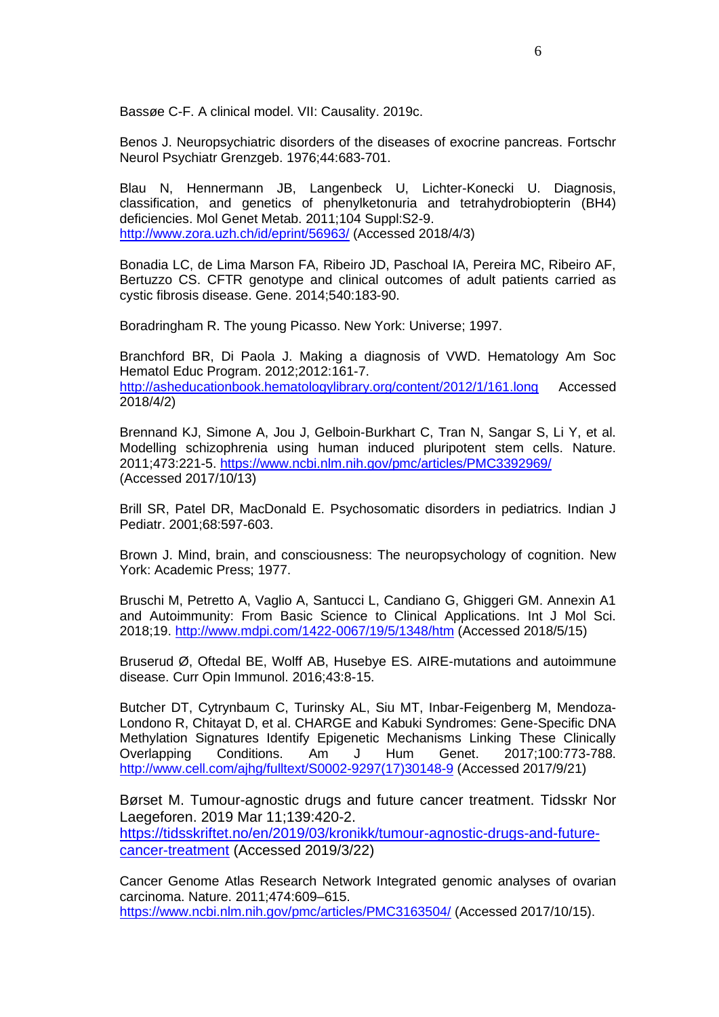Bassøe C-F. A clinical model. VII: Causality. 2019c.

Benos J. Neuropsychiatric disorders of the diseases of exocrine pancreas. Fortschr Neurol Psychiatr Grenzgeb. 1976;44:683-701.

Blau N, Hennermann JB, Langenbeck U, Lichter-Konecki U. Diagnosis, classification, and genetics of phenylketonuria and tetrahydrobiopterin (BH4) deficiencies. Mol Genet Metab. 2011;104 Suppl:S2-9. <http://www.zora.uzh.ch/id/eprint/56963/> (Accessed 2018/4/3)

Bonadia LC, de Lima Marson FA, Ribeiro JD, Paschoal IA, Pereira MC, Ribeiro AF, Bertuzzo CS. CFTR genotype and clinical outcomes of adult patients carried as cystic fibrosis disease. Gene. 2014;540:183-90.

Boradringham R. The young Picasso. New York: Universe; 1997.

Branchford BR, Di Paola J. Making a diagnosis of VWD. Hematology Am Soc Hematol Educ Program. 2012;2012:161-7. <http://asheducationbook.hematologylibrary.org/content/2012/1/161.long> Accessed

2018/4/2)

Brennand KJ, Simone A, Jou J, Gelboin-Burkhart C, Tran N, Sangar S, Li Y, et al. Modelling schizophrenia using human induced pluripotent stem cells. Nature. 2011;473:221-5.<https://www.ncbi.nlm.nih.gov/pmc/articles/PMC3392969/> (Accessed 2017/10/13)

Brill SR, Patel DR, MacDonald E. Psychosomatic disorders in pediatrics. Indian J Pediatr. 2001;68:597-603.

Brown J. Mind, brain, and consciousness: The neuropsychology of cognition. New York: Academic Press; 1977.

Bruschi M, Petretto A, Vaglio A, Santucci L, Candiano G, Ghiggeri GM. Annexin A1 and Autoimmunity: From Basic Science to Clinical Applications. Int J Mol Sci. 2018;19.<http://www.mdpi.com/1422-0067/19/5/1348/htm> (Accessed 2018/5/15)

Bruserud Ø, Oftedal BE, Wolff AB, Husebye ES. AIRE-mutations and autoimmune disease. Curr Opin Immunol. 2016;43:8-15.

Butcher DT, Cytrynbaum C, Turinsky AL, Siu MT, Inbar-Feigenberg M, Mendoza-Londono R, Chitayat D, et al. CHARGE and Kabuki Syndromes: Gene-Specific DNA Methylation Signatures Identify Epigenetic Mechanisms Linking These Clinically Overlapping Conditions. Am J Hum Genet. 2017;100:773-788. [http://www.cell.com/ajhg/fulltext/S0002-9297\(17\)30148-9](http://www.cell.com/ajhg/fulltext/S0002-9297(17)30148-9) (Accessed 2017/9/21)

Børset M. Tumour-agnostic drugs and future cancer treatment. Tidsskr Nor Laegeforen. 2019 Mar 11;139:420-2.

[https://tidsskriftet.no/en/2019/03/kronikk/tumour-agnostic-drugs-and-future](https://tidsskriftet.no/en/2019/03/kronikk/tumour-agnostic-drugs-and-future-cancer-treatment)[cancer-treatment](https://tidsskriftet.no/en/2019/03/kronikk/tumour-agnostic-drugs-and-future-cancer-treatment) (Accessed 2019/3/22)

Cancer Genome Atlas Research Network Integrated genomic analyses of ovarian carcinoma. Nature. 2011;474:609–615. <https://www.ncbi.nlm.nih.gov/pmc/articles/PMC3163504/> (Accessed 2017/10/15).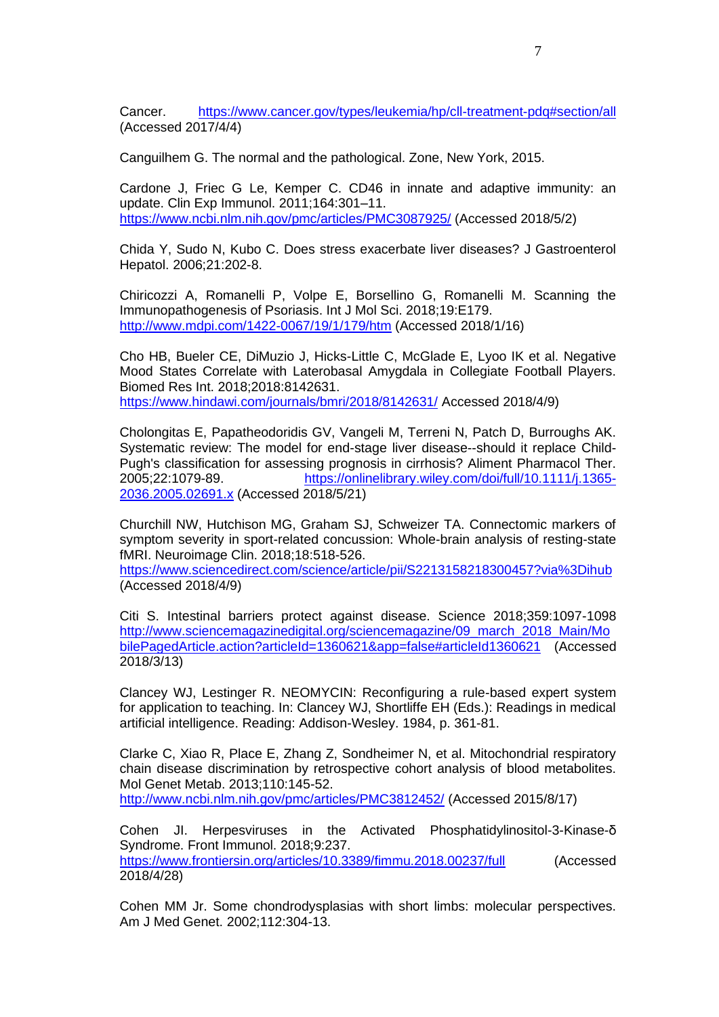Cancer. <https://www.cancer.gov/types/leukemia/hp/cll-treatment-pdq#section/all> (Accessed 2017/4/4)

Canguilhem G. The normal and the pathological. Zone, New York, 2015.

Cardone J, Friec G Le, Kemper C. CD46 in innate and adaptive immunity: an update. Clin Exp Immunol. 2011;164:301–11. <https://www.ncbi.nlm.nih.gov/pmc/articles/PMC3087925/> (Accessed 2018/5/2)

Chida Y, Sudo N, Kubo C. Does stress exacerbate liver diseases? J Gastroenterol Hepatol. 2006;21:202-8.

Chiricozzi A, Romanelli P, Volpe E, Borsellino G, Romanelli M. Scanning the Immunopathogenesis of Psoriasis. Int J Mol Sci. 2018;19:E179. <http://www.mdpi.com/1422-0067/19/1/179/htm> (Accessed 2018/1/16)

Cho HB, Bueler CE, DiMuzio J, Hicks-Little C, McGlade E, Lyoo IK et al. Negative Mood States Correlate with Laterobasal Amygdala in Collegiate Football Players. Biomed Res Int. 2018;2018:8142631. <https://www.hindawi.com/journals/bmri/2018/8142631/> Accessed 2018/4/9)

Cholongitas E, Papatheodoridis GV, Vangeli M, Terreni N, Patch D, Burroughs AK. Systematic review: The model for end-stage liver disease--should it replace Child-Pugh's classification for assessing prognosis in cirrhosis? Aliment Pharmacol Ther. 2005;22:1079-89. [https://onlinelibrary.wiley.com/doi/full/10.1111/j.1365-](https://onlinelibrary.wiley.com/doi/full/10.1111/j.1365-2036.2005.02691.x) [2036.2005.02691.x](https://onlinelibrary.wiley.com/doi/full/10.1111/j.1365-2036.2005.02691.x) (Accessed 2018/5/21)

Churchill NW, Hutchison MG, Graham SJ, Schweizer TA. Connectomic markers of symptom severity in sport-related concussion: Whole-brain analysis of resting-state fMRI. Neuroimage Clin. 2018;18:518-526.

<https://www.sciencedirect.com/science/article/pii/S2213158218300457?via%3Dihub> (Accessed 2018/4/9)

Citi S. Intestinal barriers protect against disease. Science 2018;359:1097-1098 [http://www.sciencemagazinedigital.org/sciencemagazine/09\\_march\\_2018\\_Main/Mo](http://www.sciencemagazinedigital.org/sciencemagazine/09_march_2018_Main/MobilePagedArticle.action?articleId=1360621&app=false#articleId1360621) [bilePagedArticle.action?articleId=1360621&app=false#articleId1360621](http://www.sciencemagazinedigital.org/sciencemagazine/09_march_2018_Main/MobilePagedArticle.action?articleId=1360621&app=false#articleId1360621) (Accessed 2018/3/13)

Clancey WJ, Lestinger R. NEOMYCIN: Reconfiguring a rule-based expert system for application to teaching. In: Clancey WJ, Shortliffe EH (Eds.): Readings in medical artificial intelligence. Reading: Addison-Wesley. 1984, p. 361-81.

Clarke C, Xiao R, Place E, Zhang Z, Sondheimer N, et al. Mitochondrial respiratory chain disease discrimination by retrospective cohort analysis of blood metabolites. Mol Genet Metab. 2013;110:145-52. <http://www.ncbi.nlm.nih.gov/pmc/articles/PMC3812452/> (Accessed 2015/8/17)

Cohen JI. Herpesviruses in the Activated Phosphatidylinositol-3-Kinase-δ Syndrome. Front Immunol. 2018;9:237. <https://www.frontiersin.org/articles/10.3389/fimmu.2018.00237/full> (Accessed 2018/4/28)

Cohen MM Jr. Some chondrodysplasias with short limbs: molecular perspectives. Am J Med Genet. 2002;112:304-13.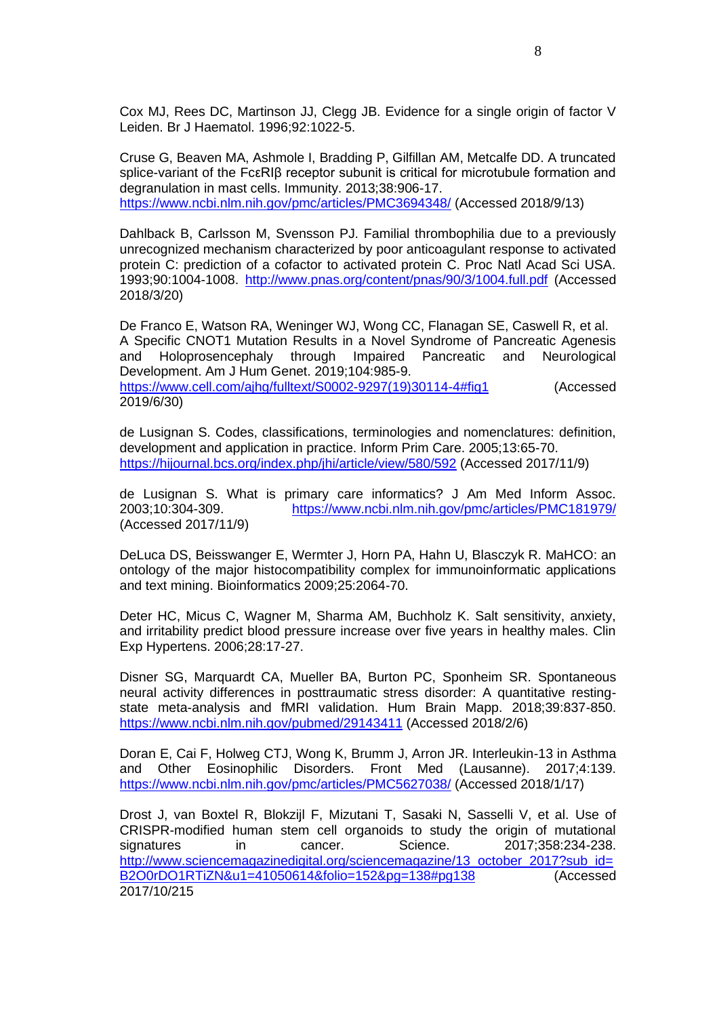Cox MJ, Rees DC, Martinson JJ, Clegg JB. Evidence for a single origin of factor V Leiden. Br J Haematol. 1996;92:1022-5.

Cruse G, Beaven MA, Ashmole I, Bradding P, Gilfillan AM, Metcalfe DD. A truncated splice-variant of the FcεRIβ receptor subunit is critical for microtubule formation and degranulation in mast cells. Immunity. 2013;38:906-17. <https://www.ncbi.nlm.nih.gov/pmc/articles/PMC3694348/> (Accessed 2018/9/13)

Dahlback B, Carlsson M, Svensson PJ. Familial thrombophilia due to a previously unrecognized mechanism characterized by poor anticoagulant response to activated protein C: prediction of a cofactor to activated protein C. Proc Natl Acad Sci USA. 1993;90:1004-1008. <http://www.pnas.org/content/pnas/90/3/1004.full.pdf> (Accessed 2018/3/20)

De Franco E, Watson RA, Weninger WJ, Wong CC, Flanagan SE, Caswell R, et al. A Specific CNOT1 Mutation Results in a Novel Syndrome of Pancreatic Agenesis and Holoprosencephaly through Impaired Pancreatic and Neurological Development. Am J Hum Genet. 2019;104:985-9.

[https://www.cell.com/ajhg/fulltext/S0002-9297\(19\)30114-4#fig1](https://www.cell.com/ajhg/fulltext/S0002-9297(19)30114-4#fig1) (Accessed 2019/6/30)

de Lusignan S. Codes, classifications, terminologies and nomenclatures: definition, development and application in practice. Inform Prim Care. 2005;13:65-70. <https://hijournal.bcs.org/index.php/jhi/article/view/580/592> (Accessed 2017/11/9)

de Lusignan S. What is primary care informatics? J Am Med Inform Assoc. 2003;10:304-309. <https://www.ncbi.nlm.nih.gov/pmc/articles/PMC181979/> (Accessed 2017/11/9)

DeLuca DS, Beisswanger E, Wermter J, Horn PA, Hahn U, Blasczyk R. MaHCO: an ontology of the major histocompatibility complex for immunoinformatic applications and text mining. Bioinformatics 2009;25:2064-70.

Deter HC, Micus C, Wagner M, Sharma AM, Buchholz K. Salt sensitivity, anxiety, and irritability predict blood pressure increase over five years in healthy males. Clin Exp Hypertens. 2006;28:17-27.

Disner SG, Marquardt CA, Mueller BA, Burton PC, Sponheim SR. Spontaneous neural activity differences in posttraumatic stress disorder: A quantitative restingstate meta-analysis and fMRI validation. Hum Brain Mapp. 2018;39:837-850. <https://www.ncbi.nlm.nih.gov/pubmed/29143411> (Accessed 2018/2/6)

Doran E, Cai F, Holweg CTJ, Wong K, Brumm J, Arron JR. Interleukin-13 in Asthma and Other Eosinophilic Disorders. Front Med (Lausanne). 2017;4:139. <https://www.ncbi.nlm.nih.gov/pmc/articles/PMC5627038/> (Accessed 2018/1/17)

Drost J, van Boxtel R, Blokzijl F, Mizutani T, Sasaki N, Sasselli V, et al. Use of CRISPR-modified human stem cell organoids to study the origin of mutational signatures in cancer. Science. 2017;358:234-238. [http://www.sciencemagazinedigital.org/sciencemagazine/13\\_october\\_2017?sub\\_id=](http://www.sciencemagazinedigital.org/sciencemagazine/13_october_2017?sub_id=B2O0rDO1RTiZN&u1=41050614&folio=152&pg=138#pg138) [B2O0rDO1RTiZN&u1=41050614&folio=152&pg=138#pg138](http://www.sciencemagazinedigital.org/sciencemagazine/13_october_2017?sub_id=B2O0rDO1RTiZN&u1=41050614&folio=152&pg=138#pg138) (Accessed 2017/10/215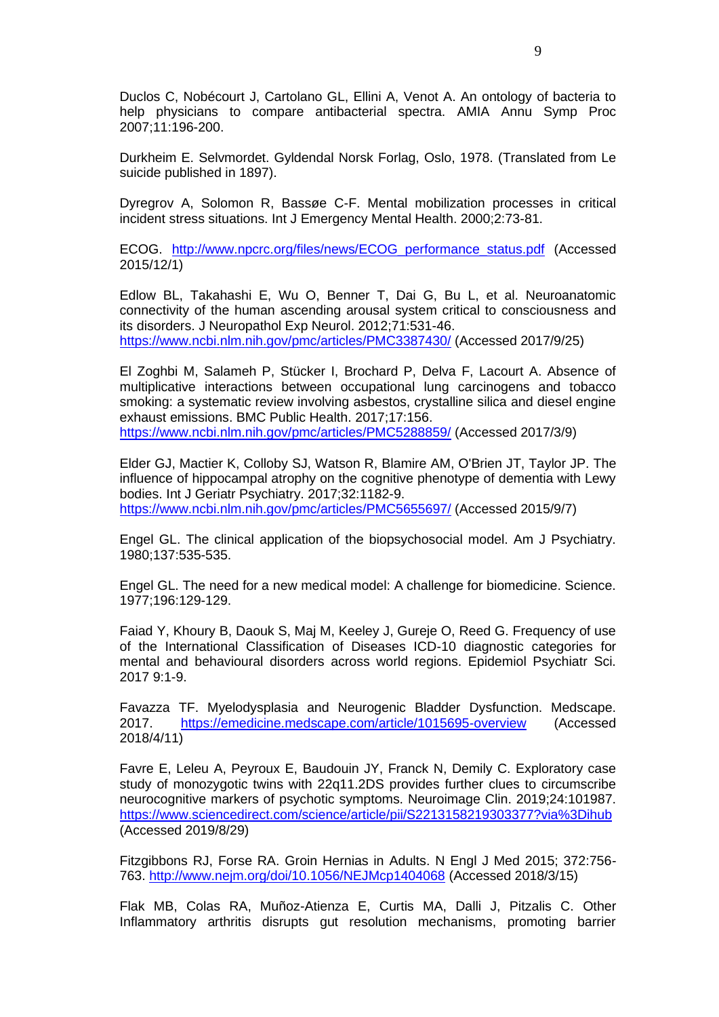Duclos C, Nobécourt J, Cartolano GL, Ellini A, Venot A. An ontology of bacteria to help physicians to compare antibacterial spectra. AMIA Annu Symp Proc 2007;11:196-200.

Durkheim E. Selvmordet. Gyldendal Norsk Forlag, Oslo, 1978. (Translated from Le suicide published in 1897).

Dyregrov A, Solomon R, Bassøe C-F. Mental mobilization processes in critical incident stress situations. Int J Emergency Mental Health. 2000;2:73-81.

ECOG. [http://www.npcrc.org/files/news/ECOG\\_performance\\_status.pdf](http://www.npcrc.org/files/news/ECOG_performance_status.pdf) (Accessed 2015/12/1)

Edlow BL, Takahashi E, Wu O, Benner T, Dai G, Bu L, et al. Neuroanatomic connectivity of the human ascending arousal system critical to consciousness and its disorders. J Neuropathol Exp Neurol. 2012;71:531-46. <https://www.ncbi.nlm.nih.gov/pmc/articles/PMC3387430/> (Accessed 2017/9/25)

El Zoghbi M, Salameh P, Stücker I, Brochard P, Delva F, Lacourt A. Absence of multiplicative interactions between occupational lung carcinogens and tobacco smoking: a systematic review involving asbestos, crystalline silica and diesel engine exhaust emissions. BMC Public Health. 2017;17:156.

<https://www.ncbi.nlm.nih.gov/pmc/articles/PMC5288859/> (Accessed 2017/3/9)

Elder GJ, Mactier K, Colloby SJ, Watson R, Blamire AM, O'Brien JT, Taylor JP. The influence of hippocampal atrophy on the cognitive phenotype of dementia with Lewy bodies. Int J Geriatr Psychiatry. 2017;32:1182-9. <https://www.ncbi.nlm.nih.gov/pmc/articles/PMC5655697/> (Accessed 2015/9/7)

Engel GL. The clinical application of the biopsychosocial model. Am J Psychiatry. 1980;137:535-535.

Engel GL. The need for a new medical model: A challenge for biomedicine. Science. 1977;196:129-129.

Faiad Y, Khoury B, Daouk S, Maj M, Keeley J, Gureje O, Reed G. Frequency of use of the International Classification of Diseases ICD-10 diagnostic categories for mental and behavioural disorders across world regions. Epidemiol Psychiatr Sci. 2017 9:1-9.

Favazza TF. Myelodysplasia and Neurogenic Bladder Dysfunction. Medscape. 2017. <https://emedicine.medscape.com/article/1015695-overview> (Accessed  $2018/4/11$ 

Favre E, Leleu A, Peyroux E, Baudouin JY, Franck N, Demily C. Exploratory case study of monozygotic twins with 22q11.2DS provides further clues to circumscribe neurocognitive markers of psychotic symptoms. Neuroimage Clin. 2019;24:101987. <https://www.sciencedirect.com/science/article/pii/S2213158219303377?via%3Dihub> (Accessed 2019/8/29)

Fitzgibbons RJ, Forse RA. Groin Hernias in Adults. N Engl J Med 2015; 372:756- 763.<http://www.nejm.org/doi/10.1056/NEJMcp1404068> (Accessed 2018/3/15)

Flak MB, Colas RA, Muñoz-Atienza E, Curtis MA, Dalli J, Pitzalis C. Other Inflammatory arthritis disrupts gut resolution mechanisms, promoting barrier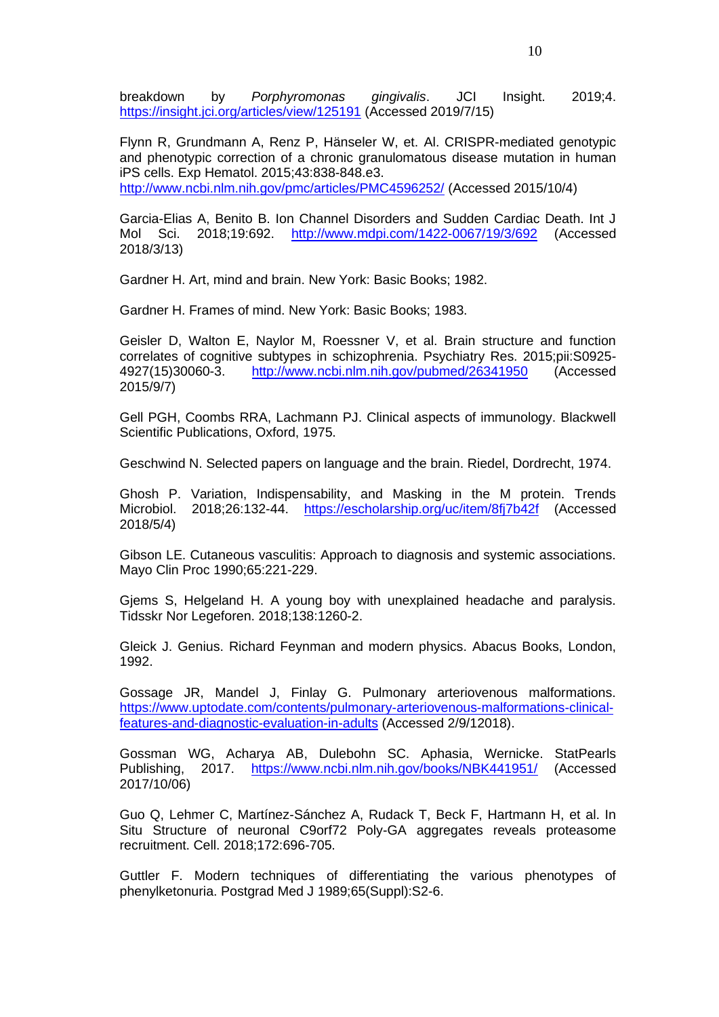breakdown by *Porphyromonas gingivalis*. JCI Insight. 2019;4. <https://insight.jci.org/articles/view/125191> (Accessed 2019/7/15)

Flynn R, Grundmann A, Renz P, Hänseler W, et. Al. CRISPR-mediated genotypic and phenotypic correction of a chronic granulomatous disease mutation in human iPS cells. Exp Hematol. 2015;43:838-848.e3. <http://www.ncbi.nlm.nih.gov/pmc/articles/PMC4596252/> (Accessed 2015/10/4)

Garcia-Elias A, Benito B. Ion Channel Disorders and Sudden Cardiac Death. Int J Mol Sci. 2018;19:692. <http://www.mdpi.com/1422-0067/19/3/692> (Accessed 2018/3/13)

Gardner H. Art, mind and brain. New York: Basic Books; 1982.

Gardner H. Frames of mind. New York: Basic Books; 1983.

Geisler D, Walton E, Naylor M, Roessner V, et al. Brain structure and function correlates of cognitive subtypes in schizophrenia. Psychiatry Res. 2015;pii:S0925- 4927(15)30060-3. <http://www.ncbi.nlm.nih.gov/pubmed/26341950> (Accessed 2015/9/7)

Gell PGH, Coombs RRA, Lachmann PJ. Clinical aspects of immunology. Blackwell Scientific Publications, Oxford, 1975.

Geschwind N. Selected papers on language and the brain. Riedel, Dordrecht, 1974.

Ghosh P. Variation, Indispensability, and Masking in the M protein. Trends Microbiol. 2018;26:132-44. <https://escholarship.org/uc/item/8fj7b42f> (Accessed 2018/5/4)

Gibson LE. Cutaneous vasculitis: Approach to diagnosis and systemic associations. Mayo Clin Proc 1990;65:221-229.

Gjems S, Helgeland H. A young boy with unexplained headache and paralysis. Tidsskr Nor Legeforen. 2018;138:1260-2.

Gleick J. Genius. Richard Feynman and modern physics. Abacus Books, London, 1992.

Gossage JR, Mandel J, Finlay G. Pulmonary arteriovenous malformations. [https://www.uptodate.com/contents/pulmonary-arteriovenous-malformations-clinical](https://www.uptodate.com/contents/pulmonary-arteriovenous-malformations-clinical-features-and-diagnostic-evaluation-in-adults)[features-and-diagnostic-evaluation-in-adults](https://www.uptodate.com/contents/pulmonary-arteriovenous-malformations-clinical-features-and-diagnostic-evaluation-in-adults) (Accessed 2/9/12018).

Gossman WG, Acharya AB, Dulebohn SC. Aphasia, Wernicke. StatPearls Publishing, 2017. <https://www.ncbi.nlm.nih.gov/books/NBK441951/> (Accessed 2017/10/06)

Guo Q, Lehmer C, Martínez-Sánchez A, Rudack T, Beck F, Hartmann H, et al. In Situ Structure of neuronal C9orf72 Poly-GA aggregates reveals proteasome recruitment. Cell. 2018;172:696-705.

Guttler F. Modern techniques of differentiating the various phenotypes of phenylketonuria. Postgrad Med J 1989;65(Suppl):S2-6.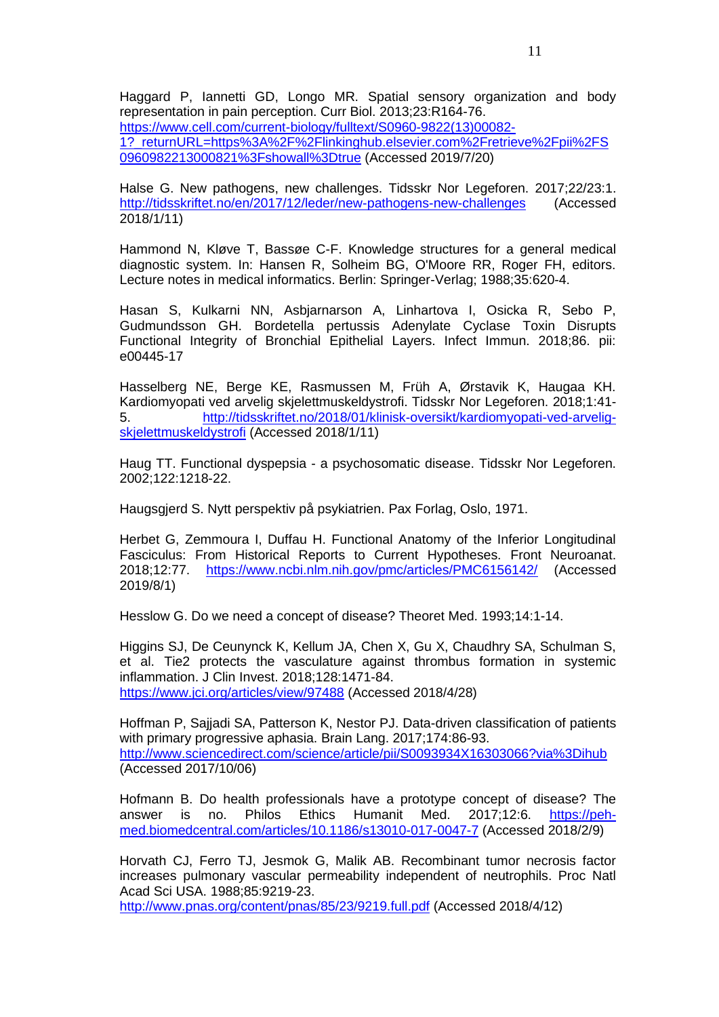Haggard P, Iannetti GD, Longo MR. Spatial sensory organization and body representation in pain perception. Curr Biol. 2013;23:R164-76. [https://www.cell.com/current-biology/fulltext/S0960-9822\(13\)00082-](https://www.cell.com/current-biology/fulltext/S0960-9822(13)00082-1?_returnURL=https%3A%2F%2Flinkinghub.elsevier.com%2Fretrieve%2Fpii%2FS0960982213000821%3Fshowall%3Dtrue) [1?\\_returnURL=https%3A%2F%2Flinkinghub.elsevier.com%2Fretrieve%2Fpii%2FS](https://www.cell.com/current-biology/fulltext/S0960-9822(13)00082-1?_returnURL=https%3A%2F%2Flinkinghub.elsevier.com%2Fretrieve%2Fpii%2FS0960982213000821%3Fshowall%3Dtrue) [0960982213000821%3Fshowall%3Dtrue](https://www.cell.com/current-biology/fulltext/S0960-9822(13)00082-1?_returnURL=https%3A%2F%2Flinkinghub.elsevier.com%2Fretrieve%2Fpii%2FS0960982213000821%3Fshowall%3Dtrue) (Accessed 2019/7/20)

Halse G. New pathogens, new challenges. Tidsskr Nor Legeforen. 2017;22/23:1. <http://tidsskriftet.no/en/2017/12/leder/new-pathogens-new-challenges> (Accessed 2018/1/11)

Hammond N, Kløve T, Bassøe C-F. Knowledge structures for a general medical diagnostic system. In: Hansen R, Solheim BG, O'Moore RR, Roger FH, editors. Lecture notes in medical informatics. Berlin: Springer-Verlag; 1988;35:620-4.

Hasan S, Kulkarni NN, Asbjarnarson A, Linhartova I, Osicka R, Sebo P, Gudmundsson GH. Bordetella pertussis Adenylate Cyclase Toxin Disrupts Functional Integrity of Bronchial Epithelial Layers. Infect Immun. 2018;86. pii: e00445-17

Hasselberg NE, Berge KE, Rasmussen M, Früh A, Ørstavik K, Haugaa KH. Kardiomyopati ved arvelig skjelettmuskeldystrofi. Tidsskr Nor Legeforen. 2018;1:41- 5. [http://tidsskriftet.no/2018/01/klinisk-oversikt/kardiomyopati-ved-arvelig](http://tidsskriftet.no/2018/01/klinisk-oversikt/kardiomyopati-ved-arvelig-skjelettmuskeldystrofi)[skjelettmuskeldystrofi](http://tidsskriftet.no/2018/01/klinisk-oversikt/kardiomyopati-ved-arvelig-skjelettmuskeldystrofi) (Accessed 2018/1/11)

Haug TT. Functional dyspepsia - a psychosomatic disease. Tidsskr Nor Legeforen. 2002;122:1218-22.

Haugsgjerd S. Nytt perspektiv på psykiatrien. Pax Forlag, Oslo, 1971.

Herbet G, Zemmoura I, Duffau H. Functional Anatomy of the Inferior Longitudinal Fasciculus: From Historical Reports to Current Hypotheses. Front Neuroanat. 2018;12:77. <https://www.ncbi.nlm.nih.gov/pmc/articles/PMC6156142/> (Accessed 2019/8/1)

Hesslow G. Do we need a concept of disease? Theoret Med. 1993;14:1-14.

Higgins SJ, De Ceunynck K, Kellum JA, Chen X, Gu X, Chaudhry SA, Schulman S, et al. Tie2 protects the vasculature against thrombus formation in systemic inflammation. J Clin Invest. 2018;128:1471-84. <https://www.jci.org/articles/view/97488> (Accessed 2018/4/28)

Hoffman P, Sajjadi SA, Patterson K, Nestor PJ. Data-driven classification of patients with primary progressive aphasia. Brain Lang. 2017;174:86-93. <http://www.sciencedirect.com/science/article/pii/S0093934X16303066?via%3Dihub> (Accessed 2017/10/06)

Hofmann B. Do health professionals have a prototype concept of disease? The answer is no. Philos Ethics Humanit Med. 2017;12:6. [https://peh](https://peh-med.biomedcentral.com/articles/10.1186/s13010-017-0047-7)[med.biomedcentral.com/articles/10.1186/s13010-017-0047-7](https://peh-med.biomedcentral.com/articles/10.1186/s13010-017-0047-7) (Accessed 2018/2/9)

Horvath CJ, Ferro TJ, Jesmok G, Malik AB. Recombinant tumor necrosis factor increases pulmonary vascular permeability independent of neutrophils. Proc Natl Acad Sci USA. 1988;85:9219-23.

<http://www.pnas.org/content/pnas/85/23/9219.full.pdf> (Accessed 2018/4/12)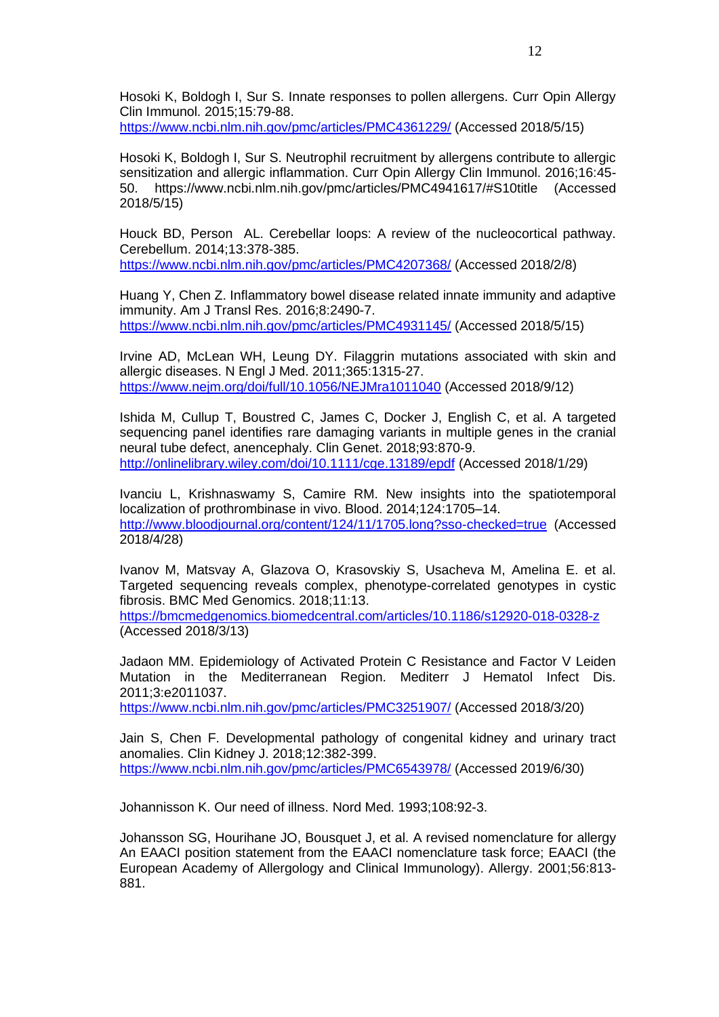Hosoki K, Boldogh I, Sur S. Innate responses to pollen allergens. Curr Opin Allergy Clin Immunol. 2015;15:79-88.

<https://www.ncbi.nlm.nih.gov/pmc/articles/PMC4361229/> (Accessed 2018/5/15)

Hosoki K, Boldogh I, Sur S. Neutrophil recruitment by allergens contribute to allergic sensitization and allergic inflammation. Curr Opin Allergy Clin Immunol. 2016;16:45- 50. https://www.ncbi.nlm.nih.gov/pmc/articles/PMC4941617/#S10title (Accessed 2018/5/15)

Houck BD, Person AL. Cerebellar loops: A review of the nucleocortical pathway. Cerebellum. 2014;13:378-385.

<https://www.ncbi.nlm.nih.gov/pmc/articles/PMC4207368/> (Accessed 2018/2/8)

Huang Y, Chen Z. Inflammatory bowel disease related innate immunity and adaptive immunity. Am J Transl Res. 2016;8:2490-7. <https://www.ncbi.nlm.nih.gov/pmc/articles/PMC4931145/> (Accessed 2018/5/15)

Irvine AD, McLean WH, Leung DY. Filaggrin mutations associated with skin and allergic diseases. N Engl J Med. 2011;365:1315-27. <https://www.nejm.org/doi/full/10.1056/NEJMra1011040> (Accessed 2018/9/12)

Ishida M, Cullup T, Boustred C, James C, Docker J, English C, et al. A targeted sequencing panel identifies rare damaging variants in multiple genes in the cranial neural tube defect, anencephaly. Clin Genet. 2018;93:870-9. <http://onlinelibrary.wiley.com/doi/10.1111/cge.13189/epdf> (Accessed 2018/1/29)

Ivanciu L, Krishnaswamy S, Camire RM. New insights into the spatiotemporal localization of prothrombinase in vivo. Blood. 2014;124:1705–14. <http://www.bloodjournal.org/content/124/11/1705.long?sso-checked=true> (Accessed 2018/4/28)

Ivanov M, Matsvay A, Glazova O, Krasovskiy S, Usacheva M, Amelina E. et al. Targeted sequencing reveals complex, phenotype-correlated genotypes in cystic fibrosis. BMC Med Genomics. 2018;11:13.

<https://bmcmedgenomics.biomedcentral.com/articles/10.1186/s12920-018-0328-z> (Accessed 2018/3/13)

Jadaon MM. Epidemiology of Activated Protein C Resistance and Factor V Leiden Mutation in the Mediterranean Region. Mediterr J Hematol Infect Dis. 2011;3:e2011037.

<https://www.ncbi.nlm.nih.gov/pmc/articles/PMC3251907/> (Accessed 2018/3/20)

Jain S, Chen F. Developmental pathology of congenital kidney and urinary tract anomalies. Clin Kidney J. 2018;12:382-399. <https://www.ncbi.nlm.nih.gov/pmc/articles/PMC6543978/> (Accessed 2019/6/30)

Johannisson K. Our need of illness. Nord Med. 1993;108:92-3.

Johansson SG, Hourihane JO, Bousquet J, et al. A revised nomenclature for allergy An EAACI position statement from the EAACI nomenclature task force; EAACI (the European Academy of Allergology and Clinical Immunology). Allergy. 2001;56:813- 881.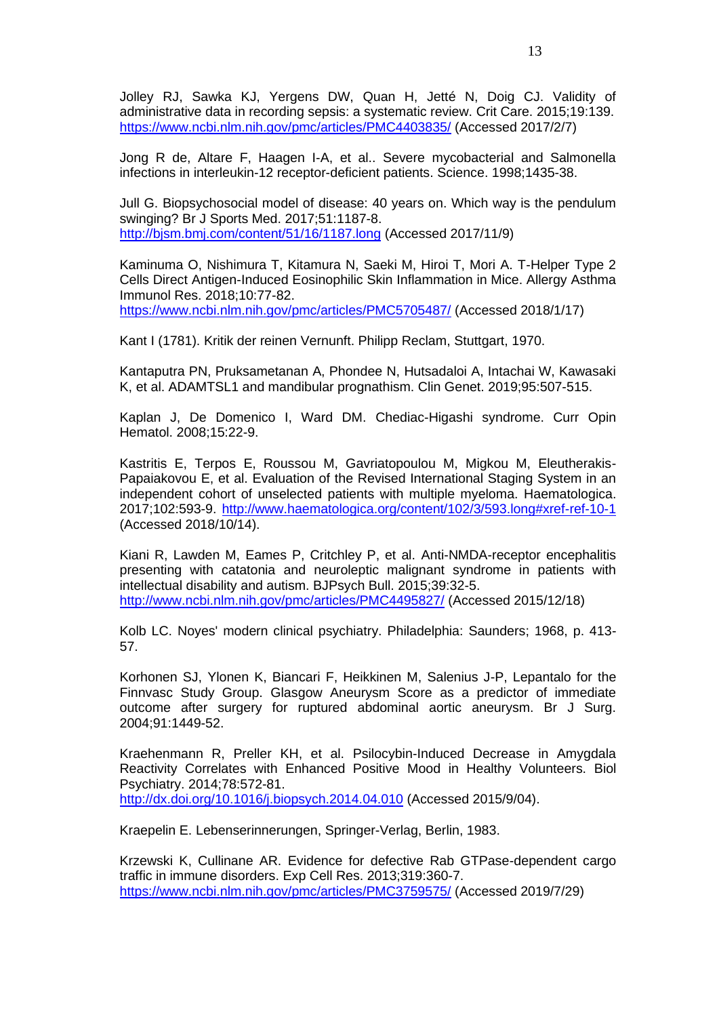Jolley RJ, Sawka KJ, Yergens DW, Quan H, Jetté N, Doig CJ. Validity of administrative data in recording sepsis: a systematic review. Crit Care. 2015;19:139. <https://www.ncbi.nlm.nih.gov/pmc/articles/PMC4403835/> (Accessed 2017/2/7)

Jong R de, Altare F, Haagen I-A, et al.. Severe mycobacterial and Salmonella infections in interleukin-12 receptor-deficient patients. Science. 1998;1435-38.

Jull G. Biopsychosocial model of disease: 40 years on. Which way is the pendulum swinging? Br J Sports Med. 2017;51:1187-8. <http://bjsm.bmj.com/content/51/16/1187.long> (Accessed 2017/11/9)

Kaminuma O, Nishimura T, Kitamura N, Saeki M, Hiroi T, Mori A. T-Helper Type 2 Cells Direct Antigen-Induced Eosinophilic Skin Inflammation in Mice. Allergy Asthma Immunol Res. 2018;10:77-82. <https://www.ncbi.nlm.nih.gov/pmc/articles/PMC5705487/> (Accessed 2018/1/17)

Kant I (1781). Kritik der reinen Vernunft. Philipp Reclam, Stuttgart, 1970.

Kantaputra PN, Pruksametanan A, Phondee N, Hutsadaloi A, Intachai W, Kawasaki K, et al. ADAMTSL1 and mandibular prognathism. Clin Genet. 2019;95:507-515.

Kaplan J, De Domenico I, Ward DM. Chediac-Higashi syndrome. Curr Opin Hematol. 2008;15:22-9.

Kastritis E, Terpos E, Roussou M, Gavriatopoulou M, Migkou M, Eleutherakis-Papaiakovou E, et al. Evaluation of the Revised International Staging System in an independent cohort of unselected patients with multiple myeloma. Haematologica. 2017;102:593-9. <http://www.haematologica.org/content/102/3/593.long#xref-ref-10-1> (Accessed 2018/10/14).

Kiani R, Lawden M, Eames P, Critchley P, et al. Anti-NMDA-receptor encephalitis presenting with catatonia and neuroleptic malignant syndrome in patients with intellectual disability and autism. BJPsych Bull. 2015;39:32-5. <http://www.ncbi.nlm.nih.gov/pmc/articles/PMC4495827/> (Accessed 2015/12/18)

Kolb LC. Noyes' modern clinical psychiatry. Philadelphia: Saunders; 1968, p. 413- 57.

Korhonen SJ, Ylonen K, Biancari F, Heikkinen M, Salenius J-P, Lepantalo for the Finnvasc Study Group. Glasgow Aneurysm Score as a predictor of immediate outcome after surgery for ruptured abdominal aortic aneurysm. Br J Surg. 2004;91:1449-52.

Kraehenmann R, Preller KH, et al. Psilocybin-Induced Decrease in Amygdala Reactivity Correlates with Enhanced Positive Mood in Healthy Volunteers. Biol Psychiatry. 2014;78:572-81. <http://dx.doi.org/10.1016/j.biopsych.2014.04.010> (Accessed 2015/9/04).

Kraepelin E. Lebenserinnerungen, Springer-Verlag, Berlin, 1983.

Krzewski K, Cullinane AR. Evidence for defective Rab GTPase-dependent cargo traffic in immune disorders. Exp Cell Res. 2013;319:360-7. <https://www.ncbi.nlm.nih.gov/pmc/articles/PMC3759575/> (Accessed 2019/7/29)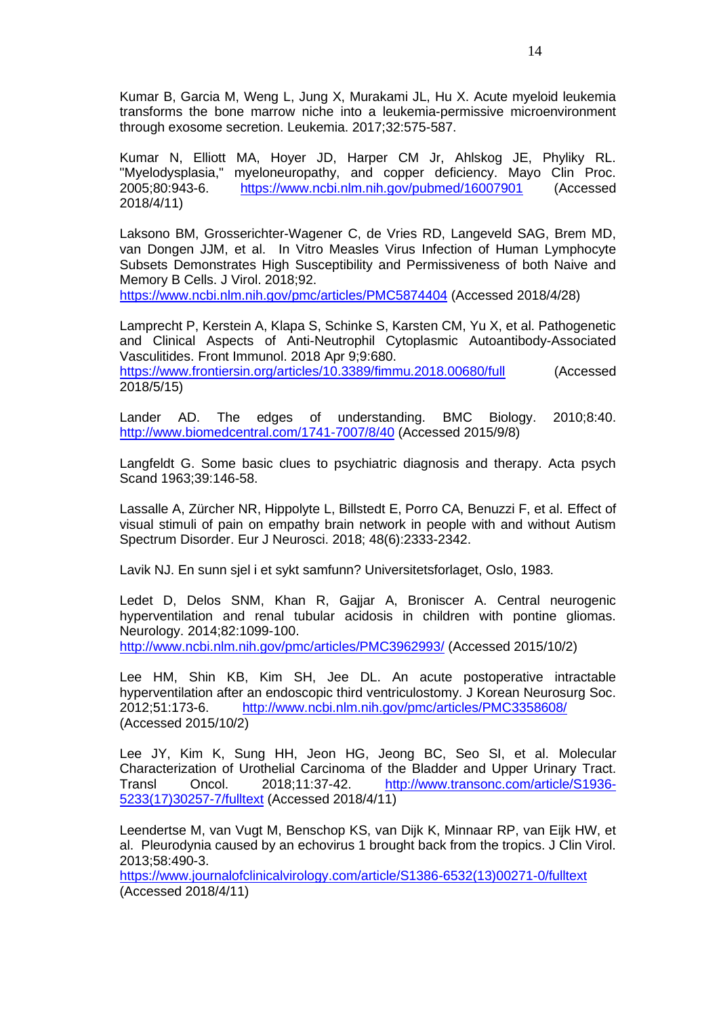Kumar B, Garcia M, Weng L, Jung X, Murakami JL, Hu X. Acute myeloid leukemia transforms the bone marrow niche into a leukemia-permissive microenvironment through exosome secretion. Leukemia. 2017;32:575-587.

Kumar N, Elliott MA, Hoyer JD, Harper CM Jr, Ahlskog JE, Phyliky RL. "Myelodysplasia," myeloneuropathy, and copper deficiency. Mayo Clin Proc. 2005;80:943-6. <https://www.ncbi.nlm.nih.gov/pubmed/16007901> (Accessed 2018/4/11)

Laksono BM, Grosserichter-Wagener C, de Vries RD, Langeveld SAG, Brem MD, van Dongen JJM, et al. In Vitro Measles Virus Infection of Human Lymphocyte Subsets Demonstrates High Susceptibility and Permissiveness of both Naive and Memory B Cells. J Virol. 2018;92.

<https://www.ncbi.nlm.nih.gov/pmc/articles/PMC5874404> (Accessed 2018/4/28)

Lamprecht P, Kerstein A, Klapa S, Schinke S, Karsten CM, Yu X, et al. Pathogenetic and Clinical Aspects of Anti-Neutrophil Cytoplasmic Autoantibody-Associated Vasculitides. Front Immunol. 2018 Apr 9;9:680.

<https://www.frontiersin.org/articles/10.3389/fimmu.2018.00680/full> (Accessed 2018/5/15)

Lander AD. The edges of understanding. BMC Biology. 2010;8:40. <http://www.biomedcentral.com/1741-7007/8/40> (Accessed 2015/9/8)

Langfeldt G. Some basic clues to psychiatric diagnosis and therapy. Acta psych Scand 1963;39:146-58.

Lassalle A, Zürcher NR, Hippolyte L, Billstedt E, Porro CA, Benuzzi F, et al. Effect of visual stimuli of pain on empathy brain network in people with and without Autism Spectrum Disorder. Eur J Neurosci. 2018; 48(6):2333-2342.

Lavik NJ. En sunn sjel i et sykt samfunn? Universitetsforlaget, Oslo, 1983.

Ledet D, Delos SNM, Khan R, Gajjar A, Broniscer A. Central neurogenic hyperventilation and renal tubular acidosis in children with pontine gliomas. Neurology. 2014;82:1099-100.

<http://www.ncbi.nlm.nih.gov/pmc/articles/PMC3962993/> (Accessed 2015/10/2)

Lee HM, Shin KB, Kim SH, Jee DL. An acute postoperative intractable hyperventilation after an endoscopic third ventriculostomy. J Korean Neurosurg Soc. 2012;51:173-6. <http://www.ncbi.nlm.nih.gov/pmc/articles/PMC3358608/> (Accessed 2015/10/2)

Lee JY, Kim K, Sung HH, Jeon HG, Jeong BC, Seo SI, et al. Molecular Characterization of Urothelial Carcinoma of the Bladder and Upper Urinary Tract. Transl Oncol. 2018;11:37-42. [http://www.transonc.com/article/S1936-](http://www.transonc.com/article/S1936-5233(17)30257-7/fulltext) [5233\(17\)30257-7/fulltext](http://www.transonc.com/article/S1936-5233(17)30257-7/fulltext) (Accessed 2018/4/11)

Leendertse M, van Vugt M, Benschop KS, van Dijk K, Minnaar RP, van Eijk HW, et al. Pleurodynia caused by an echovirus 1 brought back from the tropics. J Clin Virol. 2013;58:490-3.

[https://www.journalofclinicalvirology.com/article/S1386-6532\(13\)00271-0/fulltext](https://www.journalofclinicalvirology.com/article/S1386-6532(13)00271-0/fulltext) (Accessed 2018/4/11)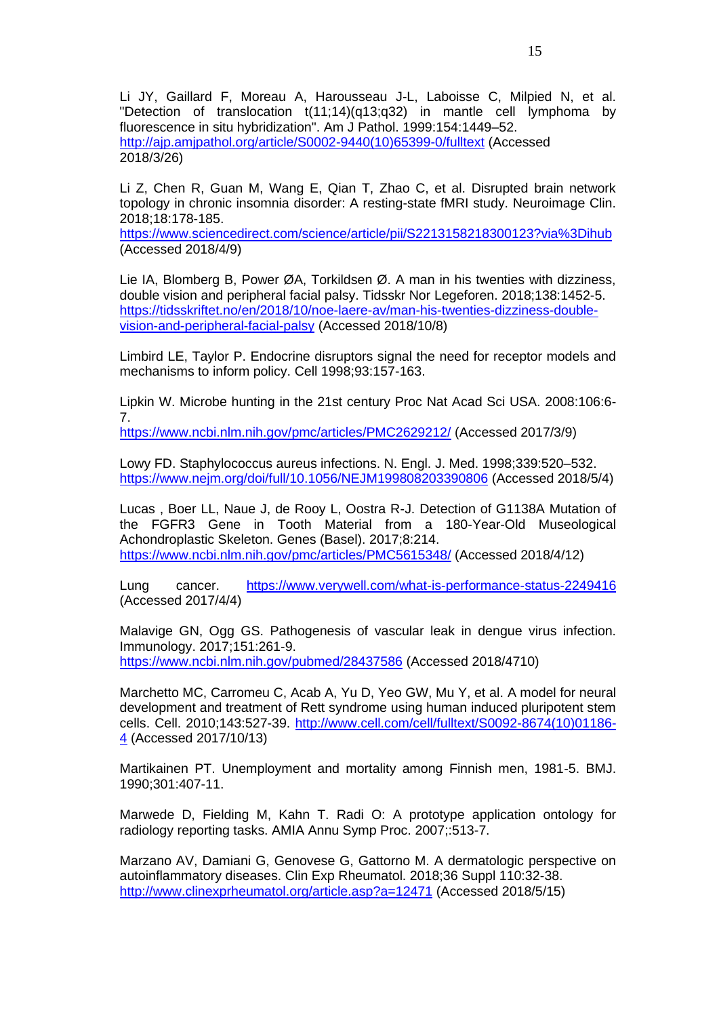Li JY, Gaillard F, Moreau A, Harousseau J-L, Laboisse C, Milpied N, et al. "Detection of translocation t(11;14)(q13;q32) in mantle cell lymphoma by fluorescence in situ hybridization". Am J Pathol. 1999:154:1449–52. [http://ajp.amjpathol.org/article/S0002-9440\(10\)65399-0/fulltext](http://ajp.amjpathol.org/article/S0002-9440(10)65399-0/fulltext) (Accessed 2018/3/26)

Li Z, Chen R, Guan M, Wang E, Qian T, Zhao C, et al. Disrupted brain network topology in chronic insomnia disorder: A resting-state fMRI study. Neuroimage Clin. 2018;18:178-185.

<https://www.sciencedirect.com/science/article/pii/S2213158218300123?via%3Dihub> (Accessed 2018/4/9)

Lie IA, Blomberg B, Power ØA, Torkildsen Ø. A man in his twenties with dizziness, double vision and peripheral facial palsy. Tidsskr Nor Legeforen. 2018;138:1452-5. [https://tidsskriftet.no/en/2018/10/noe-laere-av/man-his-twenties-dizziness-double](https://tidsskriftet.no/en/2018/10/noe-laere-av/man-his-twenties-dizziness-double-vision-and-peripheral-facial-palsy)[vision-and-peripheral-facial-palsy](https://tidsskriftet.no/en/2018/10/noe-laere-av/man-his-twenties-dizziness-double-vision-and-peripheral-facial-palsy) (Accessed 2018/10/8)

Limbird LE, Taylor P. Endocrine disruptors signal the need for receptor models and mechanisms to inform policy. Cell 1998;93:157-163.

Lipkin W. Microbe hunting in the 21st century Proc Nat Acad Sci USA. 2008:106:6- 7.

<https://www.ncbi.nlm.nih.gov/pmc/articles/PMC2629212/> (Accessed 2017/3/9)

Lowy FD. Staphylococcus aureus infections. N. Engl. J. Med. 1998;339:520–532. <https://www.nejm.org/doi/full/10.1056/NEJM199808203390806> (Accessed 2018/5/4)

Lucas , Boer LL, Naue J, de Rooy L, Oostra R-J. Detection of G1138A Mutation of the FGFR3 Gene in Tooth Material from a 180-Year-Old Museological Achondroplastic Skeleton. Genes (Basel). 2017;8:214. <https://www.ncbi.nlm.nih.gov/pmc/articles/PMC5615348/> (Accessed 2018/4/12)

Lung cancer. <https://www.verywell.com/what-is-performance-status-2249416> (Accessed 2017/4/4)

Malavige GN, Ogg GS. Pathogenesis of vascular leak in dengue virus infection. Immunology. 2017;151:261-9. <https://www.ncbi.nlm.nih.gov/pubmed/28437586> (Accessed 2018/4710)

Marchetto MC, Carromeu C, Acab A, Yu D, Yeo GW, Mu Y, et al. A model for neural development and treatment of Rett syndrome using human induced pluripotent stem cells. Cell. 2010;143:527-39. [http://www.cell.com/cell/fulltext/S0092-8674\(10\)01186-](http://www.cell.com/cell/fulltext/S0092-8674(10)01186-4) [4](http://www.cell.com/cell/fulltext/S0092-8674(10)01186-4) (Accessed 2017/10/13)

Martikainen PT. Unemployment and mortality among Finnish men, 1981-5. BMJ. 1990;301:407-11.

Marwede D, Fielding M, Kahn T. Radi O: A prototype application ontology for radiology reporting tasks. AMIA Annu Symp Proc. 2007;:513-7.

Marzano AV, Damiani G, Genovese G, Gattorno M. A dermatologic perspective on autoinflammatory diseases. Clin Exp Rheumatol. 2018;36 Suppl 110:32-38. <http://www.clinexprheumatol.org/article.asp?a=12471> (Accessed 2018/5/15)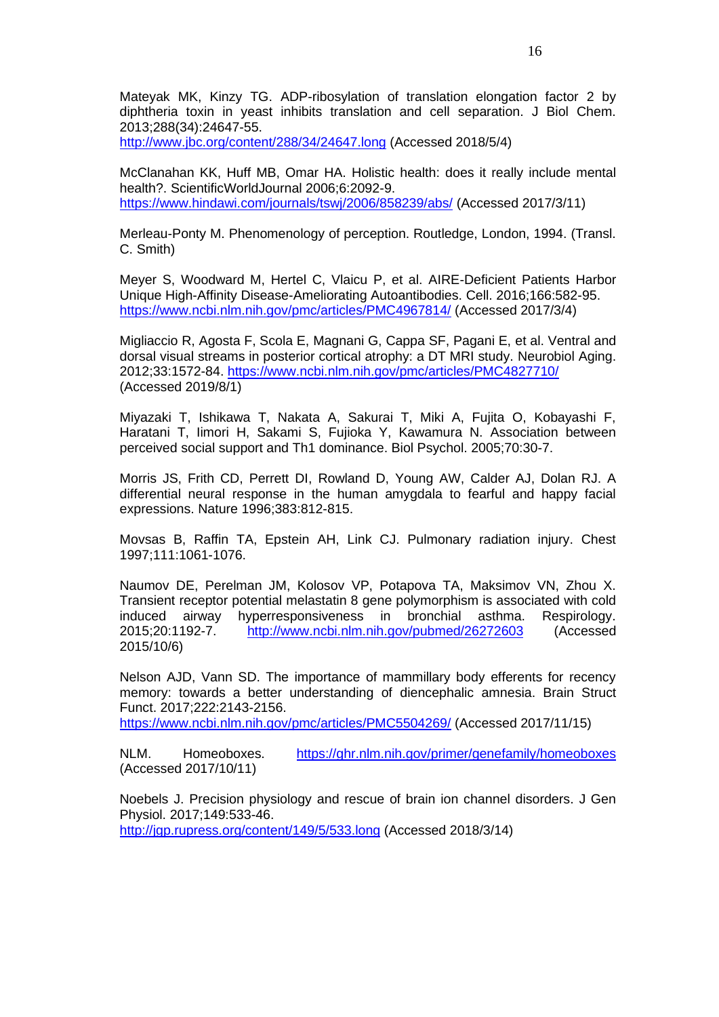Mateyak MK, Kinzy TG. ADP-ribosylation of translation elongation factor 2 by diphtheria toxin in yeast inhibits translation and cell separation. J Biol Chem. 2013;288(34):24647-55.

<http://www.jbc.org/content/288/34/24647.long> (Accessed 2018/5/4)

McClanahan KK, Huff MB, Omar HA. Holistic health: does it really include mental health?. ScientificWorldJournal 2006;6:2092-9. <https://www.hindawi.com/journals/tswj/2006/858239/abs/> (Accessed 2017/3/11)

Merleau-Ponty M. Phenomenology of perception. Routledge, London, 1994. (Transl. C. Smith)

Meyer S, Woodward M, Hertel C, Vlaicu P, et al. AIRE-Deficient Patients Harbor Unique High-Affinity Disease-Ameliorating Autoantibodies. Cell. 2016;166:582-95. <https://www.ncbi.nlm.nih.gov/pmc/articles/PMC4967814/> (Accessed 2017/3/4)

Migliaccio R, Agosta F, Scola E, Magnani G, Cappa SF, Pagani E, et al. Ventral and dorsal visual streams in posterior cortical atrophy: a DT MRI study. Neurobiol Aging. 2012;33:1572-84. <https://www.ncbi.nlm.nih.gov/pmc/articles/PMC4827710/> (Accessed 2019/8/1)

Miyazaki T, Ishikawa T, Nakata A, Sakurai T, Miki A, Fujita O, Kobayashi F, Haratani T, Iimori H, Sakami S, Fujioka Y, Kawamura N. Association between perceived social support and Th1 dominance. Biol Psychol. 2005;70:30-7.

Morris JS, Frith CD, Perrett DI, Rowland D, Young AW, Calder AJ, Dolan RJ. A differential neural response in the human amygdala to fearful and happy facial expressions. Nature 1996;383:812-815.

Movsas B, Raffin TA, Epstein AH, Link CJ. Pulmonary radiation injury. Chest 1997;111:1061-1076.

Naumov DE, Perelman JM, Kolosov VP, Potapova TA, Maksimov VN, Zhou X. Transient receptor potential melastatin 8 gene polymorphism is associated with cold induced airway hyperresponsiveness in bronchial asthma. Respirology. 2015;20:1192-7. <http://www.ncbi.nlm.nih.gov/pubmed/26272603> (Accessed 2015/10/6)

Nelson AJD, Vann SD. The importance of mammillary body efferents for recency memory: towards a better understanding of diencephalic amnesia. Brain Struct Funct. 2017;222:2143-2156.

<https://www.ncbi.nlm.nih.gov/pmc/articles/PMC5504269/> (Accessed 2017/11/15)

NLM. Homeoboxes. <https://ghr.nlm.nih.gov/primer/genefamily/homeoboxes> (Accessed 2017/10/11)

Noebels J. Precision physiology and rescue of brain ion channel disorders. J Gen Physiol. 2017;149:533-46. <http://jgp.rupress.org/content/149/5/533.long> (Accessed 2018/3/14)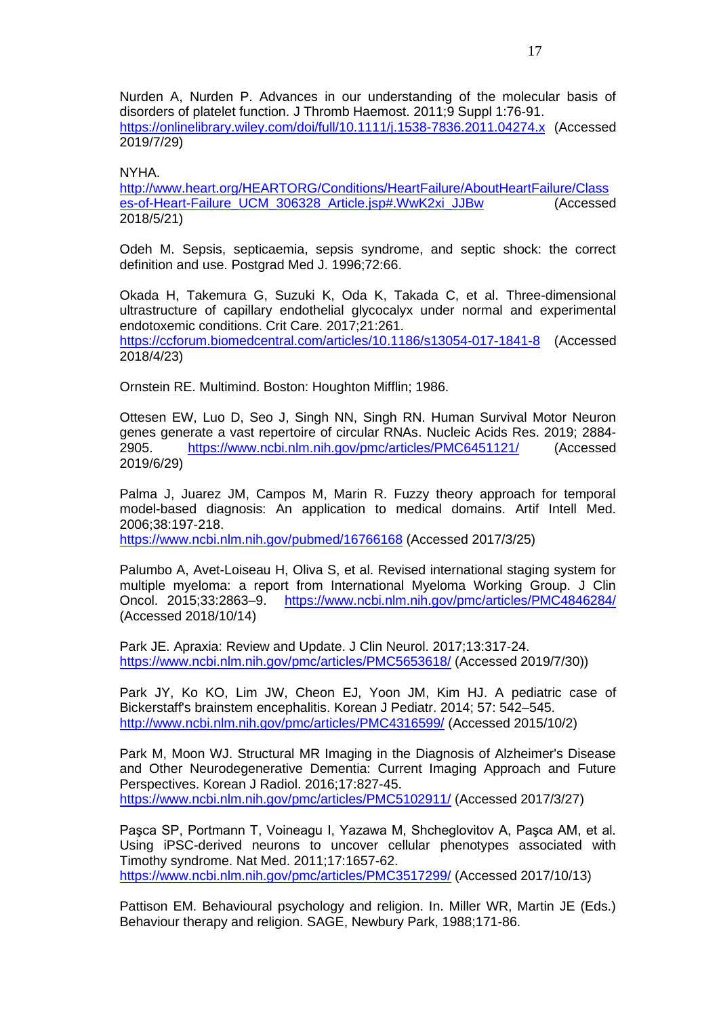Nurden A, Nurden P. Advances in our understanding of the molecular basis of disorders of platelet function. J Thromb Haemost. 2011;9 Suppl 1:76-91. <https://onlinelibrary.wiley.com/doi/full/10.1111/j.1538-7836.2011.04274.x> (Accessed 2019/7/29)

#### NYHA.

[http://www.heart.org/HEARTORG/Conditions/HeartFailure/AboutHeartFailure/Class](http://www.heart.org/HEARTORG/Conditions/HeartFailure/AboutHeartFailure/Classes-of-Heart-Failure_UCM_306328_Article.jsp#.WwK2xi_JJBw) [es-of-Heart-Failure\\_UCM\\_306328\\_Article.jsp#.WwK2xi\\_JJBw](http://www.heart.org/HEARTORG/Conditions/HeartFailure/AboutHeartFailure/Classes-of-Heart-Failure_UCM_306328_Article.jsp#.WwK2xi_JJBw) (Accessed 2018/5/21)

Odeh M. Sepsis, septicaemia, sepsis syndrome, and septic shock: the correct definition and use. Postgrad Med J. 1996;72:66.

Okada H, Takemura G, Suzuki K, Oda K, Takada C, et al. Three-dimensional ultrastructure of capillary endothelial glycocalyx under normal and experimental endotoxemic conditions. Crit Care. 2017;21:261. <https://ccforum.biomedcentral.com/articles/10.1186/s13054-017-1841-8> (Accessed 2018/4/23)

Ornstein RE. Multimind. Boston: Houghton Mifflin; 1986.

Ottesen EW, Luo D, Seo J, Singh NN, Singh RN. Human Survival Motor Neuron genes generate a vast repertoire of circular RNAs. Nucleic Acids Res. 2019; 2884- 2905. <https://www.ncbi.nlm.nih.gov/pmc/articles/PMC6451121/> (Accessed 2019/6/29)

Palma J, Juarez JM, Campos M, Marin R. Fuzzy theory approach for temporal model-based diagnosis: An application to medical domains. Artif Intell Med. 2006;38:197-218.

<https://www.ncbi.nlm.nih.gov/pubmed/16766168> (Accessed 2017/3/25)

Palumbo A, Avet-Loiseau H, Oliva S, et al. Revised international staging system for multiple myeloma: a report from International Myeloma Working Group. J Clin Oncol. 2015;33:2863–9. <https://www.ncbi.nlm.nih.gov/pmc/articles/PMC4846284/> (Accessed 2018/10/14)

Park JE. Apraxia: Review and Update. J Clin Neurol. 2017;13:317-24. <https://www.ncbi.nlm.nih.gov/pmc/articles/PMC5653618/> (Accessed 2019/7/30))

Park JY, Ko KO, Lim JW, Cheon EJ, Yoon JM, Kim HJ. A pediatric case of Bickerstaff's brainstem encephalitis. Korean J Pediatr. 2014; 57: 542–545. <http://www.ncbi.nlm.nih.gov/pmc/articles/PMC4316599/> (Accessed 2015/10/2)

Park M, Moon WJ. Structural MR Imaging in the Diagnosis of Alzheimer's Disease and Other Neurodegenerative Dementia: Current Imaging Approach and Future Perspectives. Korean J Radiol. 2016;17:827-45. <https://www.ncbi.nlm.nih.gov/pmc/articles/PMC5102911/> (Accessed 2017/3/27)

Paşca SP, Portmann T, Voineagu I, Yazawa M, Shcheglovitov A, Paşca AM, et al. Using iPSC-derived neurons to uncover cellular phenotypes associated with Timothy syndrome. Nat Med. 2011;17:1657-62. <https://www.ncbi.nlm.nih.gov/pmc/articles/PMC3517299/> (Accessed 2017/10/13)

Pattison EM. Behavioural psychology and religion. In. Miller WR, Martin JE (Eds.) Behaviour therapy and religion. SAGE, Newbury Park, 1988;171-86.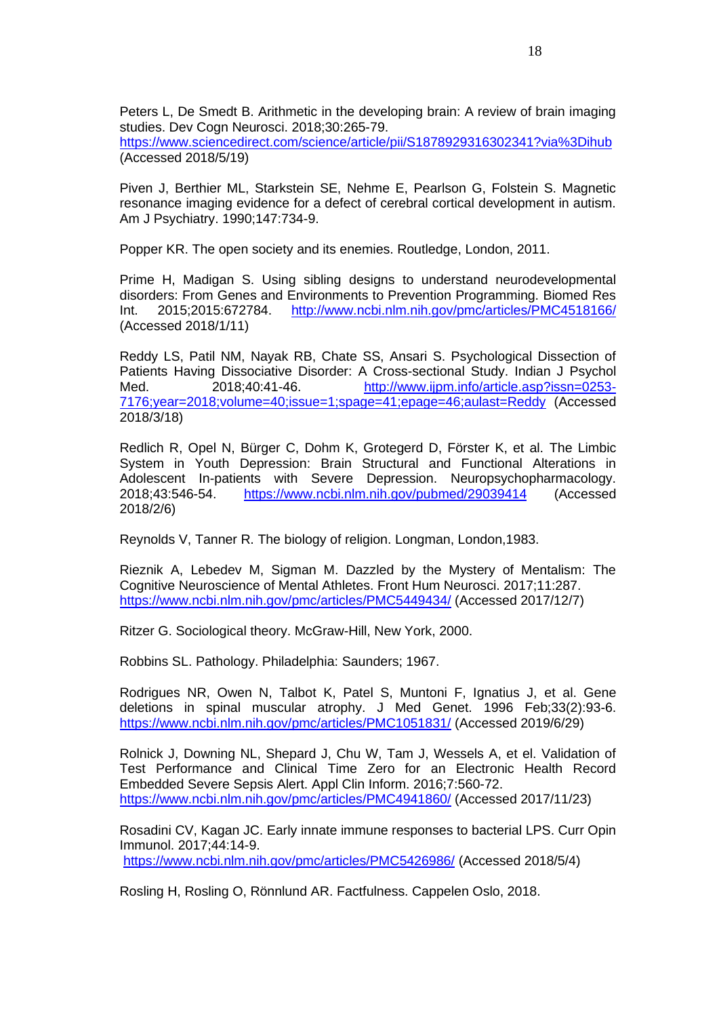Peters L, De Smedt B. Arithmetic in the developing brain: A review of brain imaging studies. Dev Cogn Neurosci. 2018:30:265-79.

<https://www.sciencedirect.com/science/article/pii/S1878929316302341?via%3Dihub> (Accessed 2018/5/19)

Piven J, Berthier ML, Starkstein SE, Nehme E, Pearlson G, Folstein S. Magnetic resonance imaging evidence for a defect of cerebral cortical development in autism. Am J Psychiatry. 1990;147:734-9.

Popper KR. The open society and its enemies. Routledge, London, 2011.

Prime H, Madigan S. Using sibling designs to understand neurodevelopmental disorders: From Genes and Environments to Prevention Programming. Biomed Res Int. 2015;2015:672784. <http://www.ncbi.nlm.nih.gov/pmc/articles/PMC4518166/> (Accessed 2018/1/11)

Reddy LS, Patil NM, Nayak RB, Chate SS, Ansari S. Psychological Dissection of Patients Having Dissociative Disorder: A Cross-sectional Study. Indian J Psychol Med. 2018;40:41-46. [http://www.ijpm.info/article.asp?issn=0253-](http://www.ijpm.info/article.asp?issn=0253-7176;year=2018;volume=40;issue=1;spage=41;epage=46;aulast=Reddy) [7176;year=2018;volume=40;issue=1;spage=41;epage=46;aulast=Reddy](http://www.ijpm.info/article.asp?issn=0253-7176;year=2018;volume=40;issue=1;spage=41;epage=46;aulast=Reddy) (Accessed 2018/3/18)

Redlich R, Opel N, Bürger C, Dohm K, Grotegerd D, Förster K, et al. The Limbic System in Youth Depression: Brain Structural and Functional Alterations in Adolescent In-patients with Severe Depression. Neuropsychopharmacology. 2018;43:546-54. <https://www.ncbi.nlm.nih.gov/pubmed/29039414> (Accessed 2018/2/6)

Reynolds V, Tanner R. The biology of religion. Longman, London,1983.

Rieznik A, Lebedev M, Sigman M. Dazzled by the Mystery of Mentalism: The Cognitive Neuroscience of Mental Athletes. Front Hum Neurosci. 2017;11:287. <https://www.ncbi.nlm.nih.gov/pmc/articles/PMC5449434/> (Accessed 2017/12/7)

Ritzer G. Sociological theory. McGraw-Hill, New York, 2000.

Robbins SL. Pathology. Philadelphia: Saunders; 1967.

Rodrigues NR, Owen N, Talbot K, Patel S, Muntoni F, Ignatius J, et al. Gene deletions in spinal muscular atrophy. J Med Genet. 1996 Feb;33(2):93-6. <https://www.ncbi.nlm.nih.gov/pmc/articles/PMC1051831/> (Accessed 2019/6/29)

Rolnick J, Downing NL, Shepard J, Chu W, Tam J, Wessels A, et el. Validation of Test Performance and Clinical Time Zero for an Electronic Health Record Embedded Severe Sepsis Alert. Appl Clin Inform. 2016;7:560-72. <https://www.ncbi.nlm.nih.gov/pmc/articles/PMC4941860/> (Accessed 2017/11/23)

Rosadini CV, Kagan JC. Early innate immune responses to bacterial LPS. Curr Opin Immunol. 2017;44:14-9. <https://www.ncbi.nlm.nih.gov/pmc/articles/PMC5426986/> (Accessed 2018/5/4)

Rosling H, Rosling O, Rönnlund AR. Factfulness. Cappelen Oslo, 2018.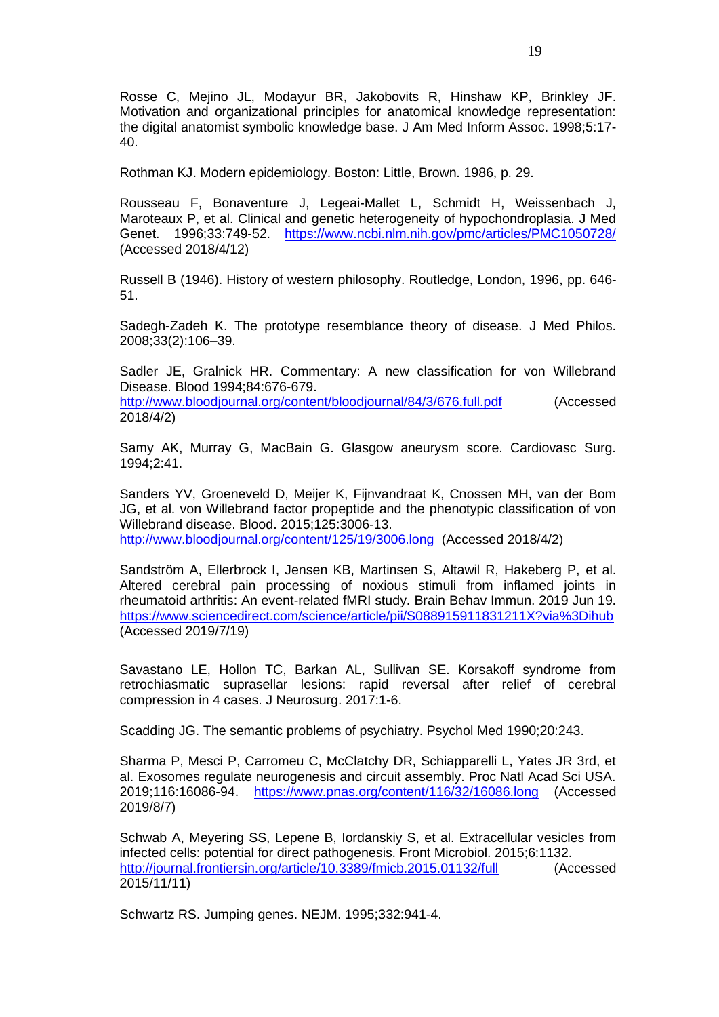Rosse C, Mejino JL, Modayur BR, Jakobovits R, Hinshaw KP, Brinkley JF. Motivation and organizational principles for anatomical knowledge representation: the digital anatomist symbolic knowledge base. J Am Med Inform Assoc. 1998;5:17- 40.

Rothman KJ. Modern epidemiology. Boston: Little, Brown. 1986, p. 29.

Rousseau F, Bonaventure J, Legeai-Mallet L, Schmidt H, Weissenbach J, Maroteaux P, et al. Clinical and genetic heterogeneity of hypochondroplasia. J Med Genet. 1996;33:749-52. <https://www.ncbi.nlm.nih.gov/pmc/articles/PMC1050728/> (Accessed 2018/4/12)

Russell B (1946). History of western philosophy. Routledge, London, 1996, pp. 646- 51.

Sadegh-Zadeh K. The prototype resemblance theory of disease. J Med Philos. 2008;33(2):106–39.

Sadler JE, Gralnick HR. Commentary: A new classification for von Willebrand Disease. Blood 1994;84:676-679.

<http://www.bloodjournal.org/content/bloodjournal/84/3/676.full.pdf> (Accessed 2018/4/2)

Samy AK, Murray G, MacBain G. Glasgow aneurysm score. Cardiovasc Surg. 1994;2:41.

Sanders YV, Groeneveld D, Meijer K, Fijnvandraat K, Cnossen MH, van der Bom JG, et al. von Willebrand factor propeptide and the phenotypic classification of von Willebrand disease. Blood. 2015;125:3006-13. <http://www.bloodjournal.org/content/125/19/3006.long> (Accessed 2018/4/2)

Sandström A, Ellerbrock I, Jensen KB, Martinsen S, Altawil R, Hakeberg P, et al. Altered cerebral pain processing of noxious stimuli from inflamed joints in rheumatoid arthritis: An event-related fMRI study. Brain Behav Immun. 2019 Jun 19. <https://www.sciencedirect.com/science/article/pii/S088915911831211X?via%3Dihub> (Accessed 2019/7/19)

Savastano LE, Hollon TC, Barkan AL, Sullivan SE. Korsakoff syndrome from retrochiasmatic suprasellar lesions: rapid reversal after relief of cerebral compression in 4 cases. J Neurosurg. 2017:1-6.

Scadding JG. The semantic problems of psychiatry. Psychol Med 1990;20:243.

Sharma P, Mesci P, Carromeu C, McClatchy DR, Schiapparelli L, Yates JR 3rd, et al. Exosomes regulate neurogenesis and circuit assembly. Proc Natl Acad Sci USA. 2019;116:16086-94. <https://www.pnas.org/content/116/32/16086.long> (Accessed 2019/8/7)

Schwab A, Meyering SS, Lepene B, Iordanskiy S, et al. Extracellular vesicles from infected cells: potential for direct pathogenesis. Front Microbiol. 2015;6:1132. <http://journal.frontiersin.org/article/10.3389/fmicb.2015.01132/full> (Accessed 2015/11/11)

Schwartz RS. Jumping genes. NEJM. 1995;332:941-4.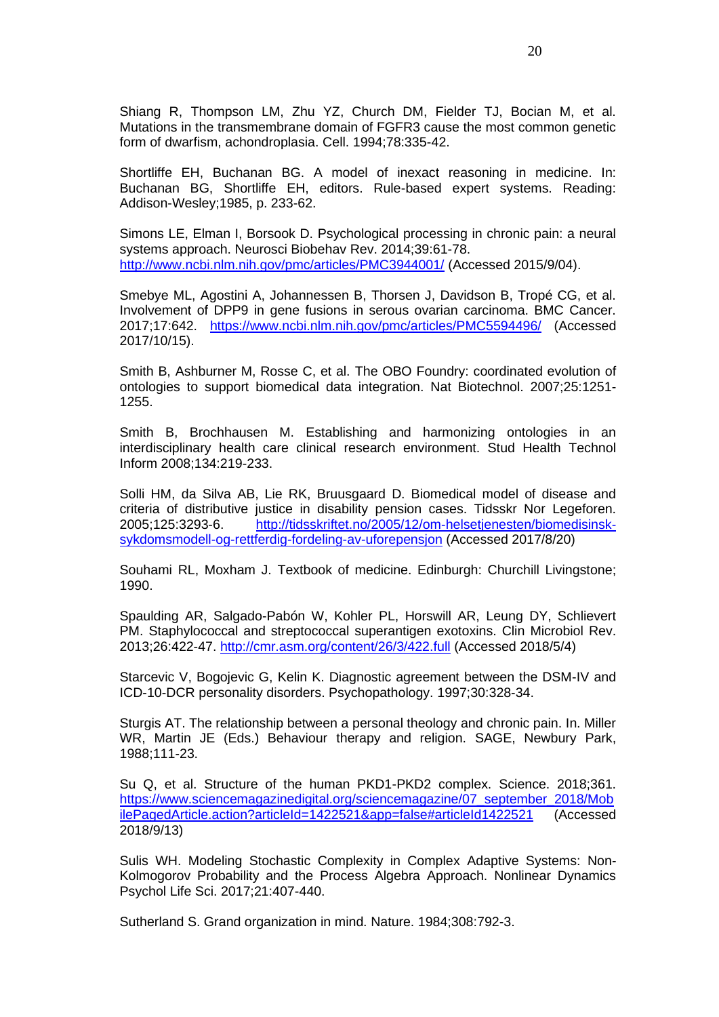Shiang R, Thompson LM, Zhu YZ, Church DM, Fielder TJ, Bocian M, et al. Mutations in the transmembrane domain of FGFR3 cause the most common genetic form of dwarfism, achondroplasia. Cell. 1994;78:335-42.

Shortliffe EH, Buchanan BG. A model of inexact reasoning in medicine. In: Buchanan BG, Shortliffe EH, editors. Rule-based expert systems. Reading: Addison-Wesley;1985, p. 233-62.

Simons LE, Elman I, Borsook D. Psychological processing in chronic pain: a neural systems approach. Neurosci Biobehav Rev. 2014;39:61-78. <http://www.ncbi.nlm.nih.gov/pmc/articles/PMC3944001/> (Accessed 2015/9/04).

Smebye ML, Agostini A, Johannessen B, Thorsen J, Davidson B, Tropé CG, et al. Involvement of DPP9 in gene fusions in serous ovarian carcinoma. BMC Cancer. 2017;17:642. <https://www.ncbi.nlm.nih.gov/pmc/articles/PMC5594496/> (Accessed 2017/10/15).

Smith B, Ashburner M, Rosse C, et al. The OBO Foundry: coordinated evolution of ontologies to support biomedical data integration. Nat Biotechnol. 2007;25:1251- 1255.

Smith B, Brochhausen M. Establishing and harmonizing ontologies in an interdisciplinary health care clinical research environment. Stud Health Technol Inform 2008;134:219-233.

Solli HM, da Silva AB, Lie RK, Bruusgaard D. Biomedical model of disease and criteria of distributive justice in disability pension cases. Tidsskr Nor Legeforen. 2005;125:3293-6. [http://tidsskriftet.no/2005/12/om-helsetjenesten/biomedisinsk](http://tidsskriftet.no/2005/12/om-helsetjenesten/biomedisinsk-sykdomsmodell-og-rettferdig-fordeling-av-uforepensjon)[sykdomsmodell-og-rettferdig-fordeling-av-uforepensjon](http://tidsskriftet.no/2005/12/om-helsetjenesten/biomedisinsk-sykdomsmodell-og-rettferdig-fordeling-av-uforepensjon) (Accessed 2017/8/20)

Souhami RL, Moxham J. Textbook of medicine. Edinburgh: Churchill Livingstone; 1990.

Spaulding AR, Salgado-Pabón W, Kohler PL, Horswill AR, Leung DY, Schlievert PM. Staphylococcal and streptococcal superantigen exotoxins. Clin Microbiol Rev. 2013;26:422-47.<http://cmr.asm.org/content/26/3/422.full> (Accessed 2018/5/4)

Starcevic V, Bogojevic G, Kelin K. Diagnostic agreement between the DSM-IV and ICD-10-DCR personality disorders. Psychopathology. 1997;30:328-34.

Sturgis AT. The relationship between a personal theology and chronic pain. In. Miller WR, Martin JE (Eds.) Behaviour therapy and religion. SAGE, Newbury Park, 1988;111-23.

Su Q, et al. Structure of the human PKD1-PKD2 complex. Science. 2018;361. [https://www.sciencemagazinedigital.org/sciencemagazine/07\\_september\\_2018/Mob](https://www.sciencemagazinedigital.org/sciencemagazine/07_september_2018/MobilePagedArticle.action?articleId=1422521&app=false#articleId1422521) [ilePagedArticle.action?articleId=1422521&app=false#articleId1422521](https://www.sciencemagazinedigital.org/sciencemagazine/07_september_2018/MobilePagedArticle.action?articleId=1422521&app=false#articleId1422521) (Accessed 2018/9/13)

Sulis WH. Modeling Stochastic Complexity in Complex Adaptive Systems: Non-Kolmogorov Probability and the Process Algebra Approach. Nonlinear Dynamics Psychol Life Sci. 2017;21:407-440.

Sutherland S. Grand organization in mind. Nature. 1984;308:792-3.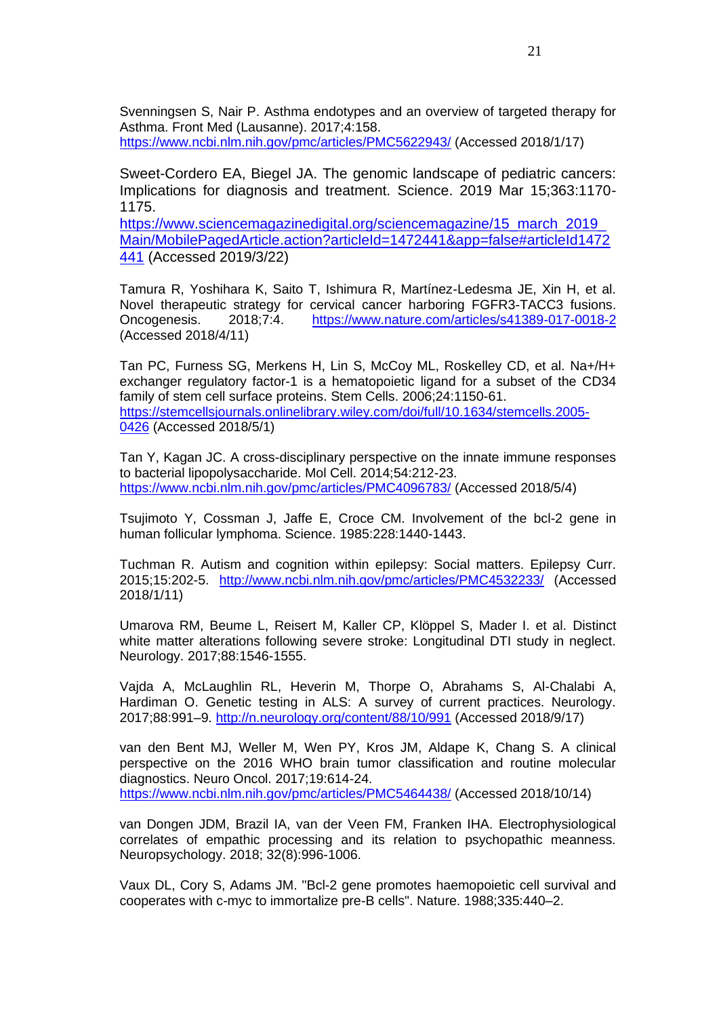Svenningsen S, Nair P. Asthma endotypes and an overview of targeted therapy for Asthma. Front Med (Lausanne). 2017;4:158.

<https://www.ncbi.nlm.nih.gov/pmc/articles/PMC5622943/> (Accessed 2018/1/17)

Sweet-Cordero EA, Biegel JA. The genomic landscape of pediatric cancers: Implications for diagnosis and treatment. Science. 2019 Mar 15;363:1170- 1175.

[https://www.sciencemagazinedigital.org/sciencemagazine/15\\_march\\_2019\\_](https://www.sciencemagazinedigital.org/sciencemagazine/15_march_2019_Main/MobilePagedArticle.action?articleId=1472441&app=false#articleId1472441) [Main/MobilePagedArticle.action?articleId=1472441&app=false#articleId1472](https://www.sciencemagazinedigital.org/sciencemagazine/15_march_2019_Main/MobilePagedArticle.action?articleId=1472441&app=false#articleId1472441) [441](https://www.sciencemagazinedigital.org/sciencemagazine/15_march_2019_Main/MobilePagedArticle.action?articleId=1472441&app=false#articleId1472441) (Accessed 2019/3/22)

Tamura R, Yoshihara K, Saito T, Ishimura R, Martínez-Ledesma JE, Xin H, et al. Novel therapeutic strategy for cervical cancer harboring FGFR3-TACC3 fusions. Oncogenesis. 2018;7:4. <https://www.nature.com/articles/s41389-017-0018-2> (Accessed 2018/4/11)

Tan PC, Furness SG, Merkens H, Lin S, McCoy ML, Roskelley CD, et al. Na+/H+ exchanger regulatory factor-1 is a hematopoietic ligand for a subset of the CD34 family of stem cell surface proteins. Stem Cells. 2006;24:1150-61. [https://stemcellsjournals.onlinelibrary.wiley.com/doi/full/10.1634/stemcells.2005-](https://stemcellsjournals.onlinelibrary.wiley.com/doi/full/10.1634/stemcells.2005-0426) [0426](https://stemcellsjournals.onlinelibrary.wiley.com/doi/full/10.1634/stemcells.2005-0426) (Accessed 2018/5/1)

Tan Y, Kagan JC. A cross-disciplinary perspective on the innate immune responses to bacterial lipopolysaccharide. Mol Cell. 2014;54:212-23. <https://www.ncbi.nlm.nih.gov/pmc/articles/PMC4096783/> (Accessed 2018/5/4)

Tsujimoto Y, Cossman J, Jaffe E, Croce CM. Involvement of the bcl-2 gene in human follicular lymphoma. Science. 1985:228:1440-1443.

Tuchman R. Autism and cognition within epilepsy: Social matters. Epilepsy Curr. 2015;15:202-5. <http://www.ncbi.nlm.nih.gov/pmc/articles/PMC4532233/> (Accessed 2018/1/11)

Umarova RM, Beume L, Reisert M, Kaller CP, Klöppel S, Mader I. et al. Distinct white matter alterations following severe stroke: Longitudinal DTI study in neglect. Neurology. 2017;88:1546-1555.

Vajda A, McLaughlin RL, Heverin M, Thorpe O, Abrahams S, Al-Chalabi A, Hardiman O. Genetic testing in ALS: A survey of current practices. Neurology. 2017;88:991–9.<http://n.neurology.org/content/88/10/991> (Accessed 2018/9/17)

van den Bent MJ, Weller M, Wen PY, Kros JM, Aldape K, Chang S. A clinical perspective on the 2016 WHO brain tumor classification and routine molecular diagnostics. Neuro Oncol. 2017;19:614-24. <https://www.ncbi.nlm.nih.gov/pmc/articles/PMC5464438/> (Accessed 2018/10/14)

van Dongen JDM, Brazil IA, van der Veen FM, Franken IHA. Electrophysiological correlates of empathic processing and its relation to psychopathic meanness. Neuropsychology. 2018; 32(8):996-1006.

Vaux DL, Cory S, Adams JM. "Bcl-2 gene promotes haemopoietic cell survival and cooperates with c-myc to immortalize pre-B cells". Nature. 1988;335:440–2.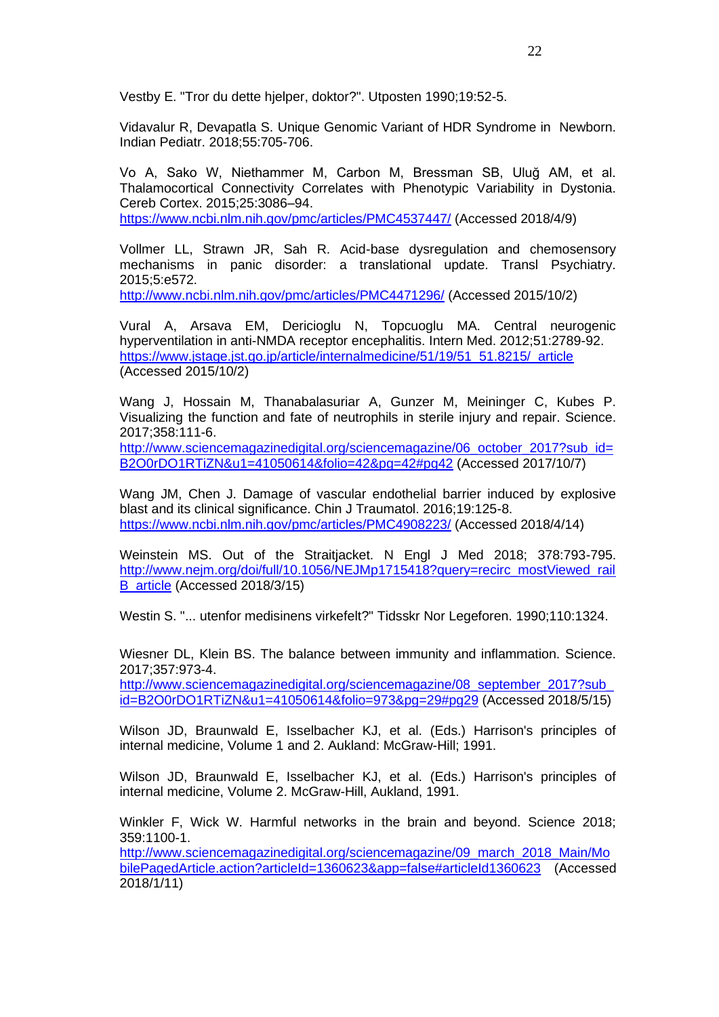Vestby E. "Tror du dette hjelper, doktor?". Utposten 1990;19:52-5.

Vidavalur R, Devapatla S. Unique Genomic Variant of HDR Syndrome in Newborn. Indian Pediatr. 2018;55:705-706.

Vo A, Sako W, Niethammer M, Carbon M, Bressman SB, Uluğ AM, et al. Thalamocortical Connectivity Correlates with Phenotypic Variability in Dystonia. Cereb Cortex. 2015;25:3086–94.

<https://www.ncbi.nlm.nih.gov/pmc/articles/PMC4537447/> (Accessed 2018/4/9)

Vollmer LL, Strawn JR, Sah R. Acid-base dysregulation and chemosensory mechanisms in panic disorder: a translational update. Transl Psychiatry. 2015;5:e572.

<http://www.ncbi.nlm.nih.gov/pmc/articles/PMC4471296/> (Accessed 2015/10/2)

Vural A, Arsava EM, Dericioglu N, Topcuoglu MA. Central neurogenic hyperventilation in anti-NMDA receptor encephalitis. Intern Med. 2012;51:2789-92. [https://www.jstage.jst.go.jp/article/internalmedicine/51/19/51\\_51.8215/\\_article](https://www.jstage.jst.go.jp/article/internalmedicine/51/19/51_51.8215/_article) (Accessed 2015/10/2)

Wang J, Hossain M, Thanabalasuriar A, Gunzer M, Meininger C, Kubes P. Visualizing the function and fate of neutrophils in sterile injury and repair. Science. 2017;358:111-6.

[http://www.sciencemagazinedigital.org/sciencemagazine/06\\_october\\_2017?sub\\_id=](http://www.sciencemagazinedigital.org/sciencemagazine/06_october_2017?sub_id=B2O0rDO1RTiZN&u1=41050614&folio=42&pg=42#pg42) [B2O0rDO1RTiZN&u1=41050614&folio=42&pg=42#pg42](http://www.sciencemagazinedigital.org/sciencemagazine/06_october_2017?sub_id=B2O0rDO1RTiZN&u1=41050614&folio=42&pg=42#pg42) (Accessed 2017/10/7)

Wang JM, Chen J. Damage of vascular endothelial barrier induced by explosive blast and its clinical significance. Chin J Traumatol. 2016;19:125-8. <https://www.ncbi.nlm.nih.gov/pmc/articles/PMC4908223/> (Accessed 2018/4/14)

Weinstein MS. Out of the Straitjacket. N Engl J Med 2018; 378:793-795. [http://www.nejm.org/doi/full/10.1056/NEJMp1715418?query=recirc\\_mostViewed\\_rail](http://www.nejm.org/doi/full/10.1056/NEJMp1715418?query=recirc_mostViewed_railB_article) [B\\_article](http://www.nejm.org/doi/full/10.1056/NEJMp1715418?query=recirc_mostViewed_railB_article) (Accessed 2018/3/15)

Westin S. "... utenfor medisinens virkefelt?" Tidsskr Nor Legeforen. 1990;110:1324.

Wiesner DL, Klein BS. The balance between immunity and inflammation. Science. 2017;357:973-4.

[http://www.sciencemagazinedigital.org/sciencemagazine/08\\_september\\_2017?sub\\_](http://www.sciencemagazinedigital.org/sciencemagazine/08_september_2017?sub_id=B2O0rDO1RTiZN&u1=41050614&folio=973&pg=29#pg29) [id=B2O0rDO1RTiZN&u1=41050614&folio=973&pg=29#pg29](http://www.sciencemagazinedigital.org/sciencemagazine/08_september_2017?sub_id=B2O0rDO1RTiZN&u1=41050614&folio=973&pg=29#pg29) (Accessed 2018/5/15)

Wilson JD, Braunwald E, Isselbacher KJ, et al. (Eds.) Harrison's principles of internal medicine, Volume 1 and 2. Aukland: McGraw-Hill; 1991.

Wilson JD, Braunwald E, Isselbacher KJ, et al. (Eds.) Harrison's principles of internal medicine, Volume 2. McGraw-Hill, Aukland, 1991.

Winkler F, Wick W. Harmful networks in the brain and beyond. Science 2018; 359:1100-1.

[http://www.sciencemagazinedigital.org/sciencemagazine/09\\_march\\_2018\\_Main/Mo](http://www.sciencemagazinedigital.org/sciencemagazine/09_march_2018_Main/MobilePagedArticle.action?articleId=1360623&app=false#articleId1360623) [bilePagedArticle.action?articleId=1360623&app=false#articleId1360623](http://www.sciencemagazinedigital.org/sciencemagazine/09_march_2018_Main/MobilePagedArticle.action?articleId=1360623&app=false#articleId1360623) (Accessed 2018/1/11)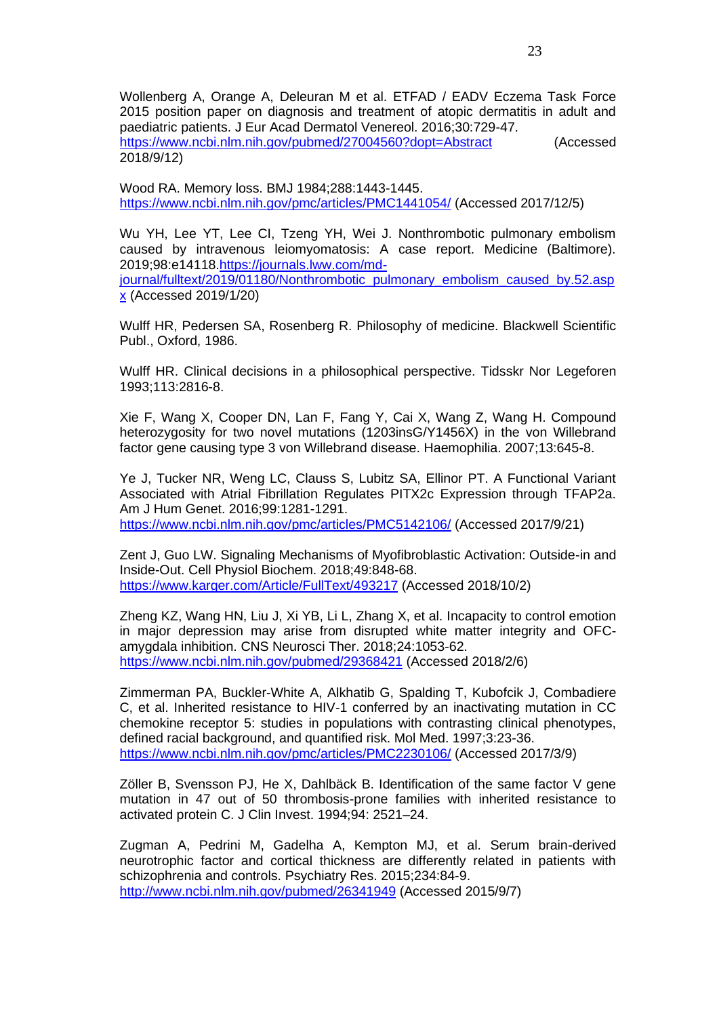Wollenberg A, Orange A, Deleuran M et al. ETFAD / EADV Eczema Task Force 2015 position paper on diagnosis and treatment of atopic dermatitis in adult and paediatric patients. J Eur Acad Dermatol Venereol. 2016;30:729-47. <https://www.ncbi.nlm.nih.gov/pubmed/27004560?dopt=Abstract> (Accessed 2018/9/12)

Wood RA. Memory loss. BMJ 1984;288:1443-1445. <https://www.ncbi.nlm.nih.gov/pmc/articles/PMC1441054/> (Accessed 2017/12/5)

Wu YH, Lee YT, Lee CI, Tzeng YH, Wei J. Nonthrombotic pulmonary embolism caused by intravenous leiomyomatosis: A case report. Medicine (Baltimore). 2019;98:e14118[.https://journals.lww.com/md](https://journals.lww.com/md-journal/fulltext/2019/01180/Nonthrombotic_pulmonary_embolism_caused_by.52.aspx)[journal/fulltext/2019/01180/Nonthrombotic\\_pulmonary\\_embolism\\_caused\\_by.52.asp](https://journals.lww.com/md-journal/fulltext/2019/01180/Nonthrombotic_pulmonary_embolism_caused_by.52.aspx) [x](https://journals.lww.com/md-journal/fulltext/2019/01180/Nonthrombotic_pulmonary_embolism_caused_by.52.aspx) (Accessed 2019/1/20)

Wulff HR, Pedersen SA, Rosenberg R. Philosophy of medicine. Blackwell Scientific Publ., Oxford, 1986.

Wulff HR. Clinical decisions in a philosophical perspective. Tidsskr Nor Legeforen 1993;113:2816-8.

Xie F, Wang X, Cooper DN, Lan F, Fang Y, Cai X, Wang Z, Wang H. Compound heterozygosity for two novel mutations (1203insG/Y1456X) in the von Willebrand factor gene causing type 3 von Willebrand disease. Haemophilia. 2007;13:645-8.

Ye J, Tucker NR, Weng LC, Clauss S, Lubitz SA, Ellinor PT. A Functional Variant Associated with Atrial Fibrillation Regulates PITX2c Expression through TFAP2a. Am J Hum Genet. 2016;99:1281-1291. <https://www.ncbi.nlm.nih.gov/pmc/articles/PMC5142106/> (Accessed 2017/9/21)

Zent J, Guo LW. Signaling Mechanisms of Myofibroblastic Activation: Outside-in and Inside-Out. Cell Physiol Biochem. 2018;49:848-68. <https://www.karger.com/Article/FullText/493217> (Accessed 2018/10/2)

Zheng KZ, Wang HN, Liu J, Xi YB, Li L, Zhang X, et al. Incapacity to control emotion in major depression may arise from disrupted white matter integrity and OFCamygdala inhibition. CNS Neurosci Ther. 2018;24:1053-62. <https://www.ncbi.nlm.nih.gov/pubmed/29368421> (Accessed 2018/2/6)

Zimmerman PA, Buckler-White A, Alkhatib G, Spalding T, Kubofcik J, Combadiere C, et al. Inherited resistance to HIV-1 conferred by an inactivating mutation in CC chemokine receptor 5: studies in populations with contrasting clinical phenotypes, defined racial background, and quantified risk. Mol Med. 1997;3:23-36. <https://www.ncbi.nlm.nih.gov/pmc/articles/PMC2230106/> (Accessed 2017/3/9)

Zöller B, Svensson PJ, He X, Dahlbäck B. Identification of the same factor V gene mutation in 47 out of 50 thrombosis-prone families with inherited resistance to activated protein C. J Clin Invest. 1994;94: 2521–24.

Zugman A, Pedrini M, Gadelha A, Kempton MJ, et al. Serum brain-derived neurotrophic factor and cortical thickness are differently related in patients with schizophrenia and controls. Psychiatry Res. 2015;234:84-9. <http://www.ncbi.nlm.nih.gov/pubmed/26341949> (Accessed 2015/9/7)